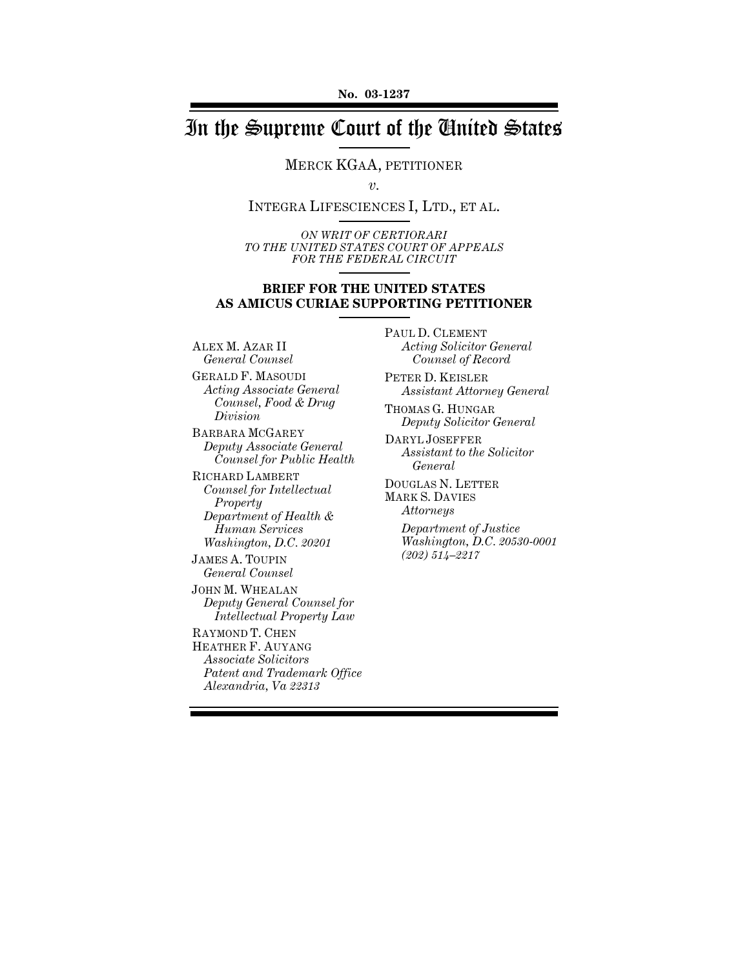# In the Supreme Court of the United States

MERCK KGAA, PETITIONER

*v.*

INTEGRA LIFESCIENCES I, LTD., ET AL.

*ON WRIT OF CERTIORARI TO THE UNITED STATES COURT OF APPEALS FOR THE FEDERAL CIRCUIT*

### **BRIEF FOR THE UNITED STATES AS AMICUS CURIAE SUPPORTING PETITIONER**

ALEX M. AZAR II *General Counsel*

GERALD F. MASOUDI *Acting Associate General Counsel, Food & Drug Division*

BARBARA MCGAREY *Deputy Associate General Counsel for Public Health*

RICHARD LAMBERT *Counsel for Intellectual Property Department of Health & Human Services Washington, D.C. 20201*

JAMES A. TOUPIN *General Counsel*

JOHN M. WHEALAN *Deputy General Counsel for Intellectual Property Law*

RAYMOND T. CHEN HEATHER F. AUYANG *Associate Solicitors Patent and Trademark Office Alexandria, Va 22313*

PAUL D. CLEMENT *Acting Solicitor General Counsel of Record*

PETER D. KEISLER *Assistant Attorney General*

THOMAS G. HUNGAR *Deputy Solicitor General*

DARYL JOSEFFER *Assistant to the Solicitor General*

DOUGLAS N. LETTER MARK S. DAVIES *Attorneys*

> *Department of Justice Washington, D.C. 20530-0001 (202) 514–2217*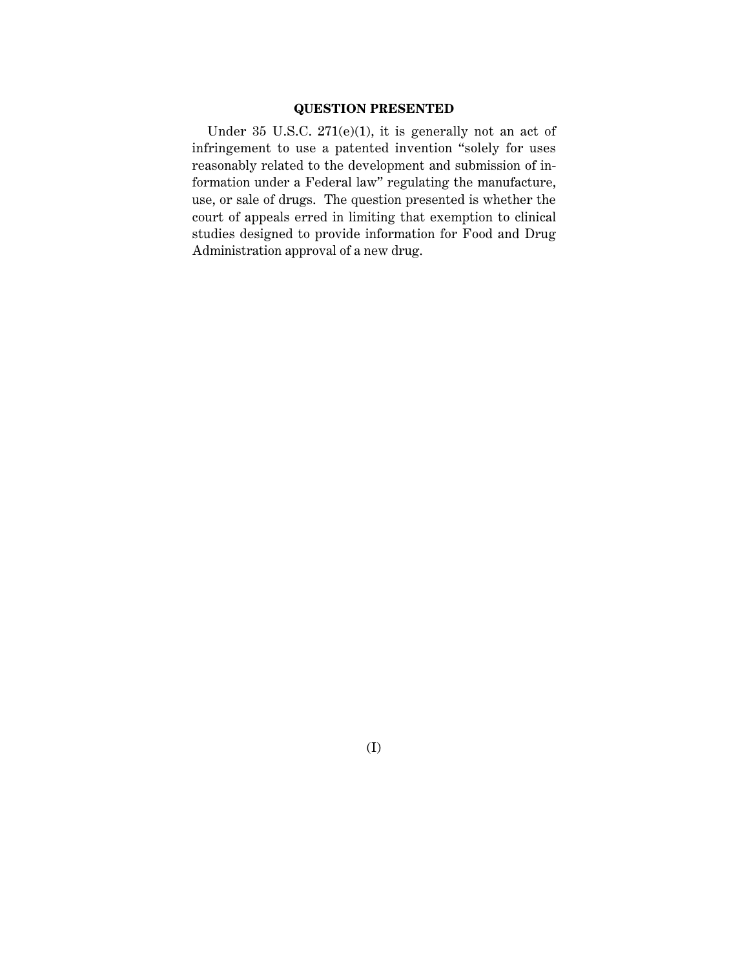## **QUESTION PRESENTED**

Under 35 U.S.C. 271(e)(1), it is generally not an act of infringement to use a patented invention "solely for uses reasonably related to the development and submission of information under a Federal law" regulating the manufacture, use, or sale of drugs. The question presented is whether the court of appeals erred in limiting that exemption to clinical studies designed to provide information for Food and Drug Administration approval of a new drug.

(I)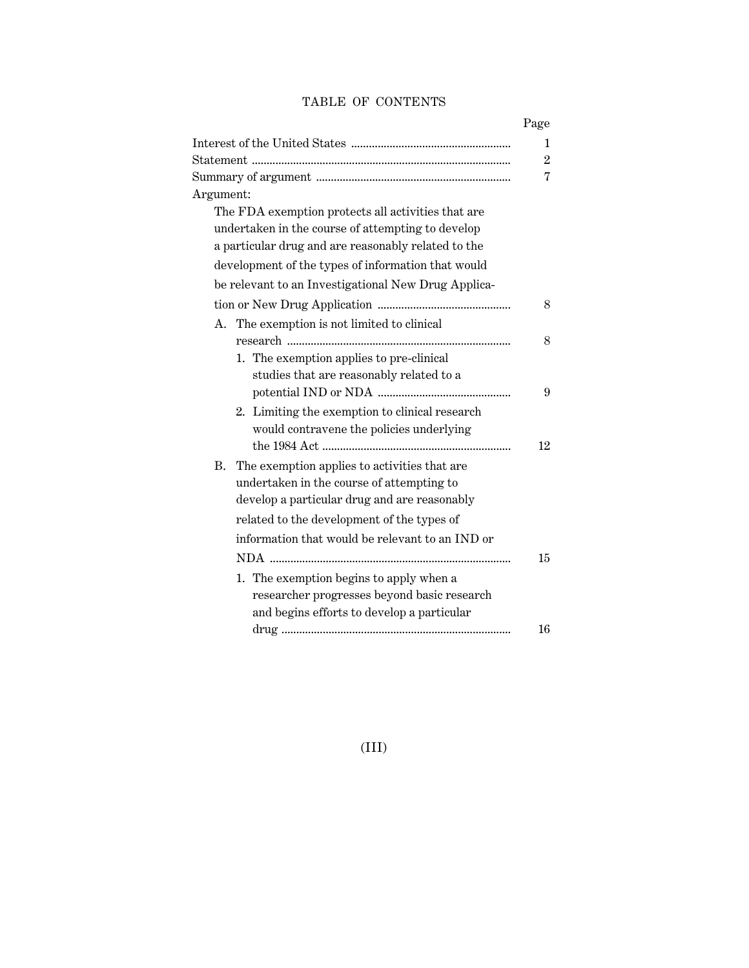# TABLE OF CONTENTS

|                                                     | Page           |
|-----------------------------------------------------|----------------|
|                                                     | 1              |
|                                                     | $\overline{2}$ |
|                                                     | 7              |
| Argument:                                           |                |
| The FDA exemption protects all activities that are  |                |
| undertaken in the course of attempting to develop   |                |
| a particular drug and are reasonably related to the |                |
| development of the types of information that would  |                |
| be relevant to an Investigational New Drug Applica- |                |
|                                                     | 8              |
| A. The exemption is not limited to clinical         |                |
|                                                     | 8              |
| 1. The exemption applies to pre-clinical            |                |
| studies that are reasonably related to a            |                |
|                                                     | 9              |
| 2. Limiting the exemption to clinical research      |                |
| would contravene the policies underlying            |                |
|                                                     | 12             |
| В.<br>The exemption applies to activities that are  |                |
| undertaken in the course of attempting to           |                |
| develop a particular drug and are reasonably        |                |
| related to the development of the types of          |                |
| information that would be relevant to an IND or     |                |
|                                                     | 15             |
| 1. The exemption begins to apply when a             |                |
| researcher progresses beyond basic research         |                |
| and begins efforts to develop a particular          |                |
|                                                     | 16             |

(III)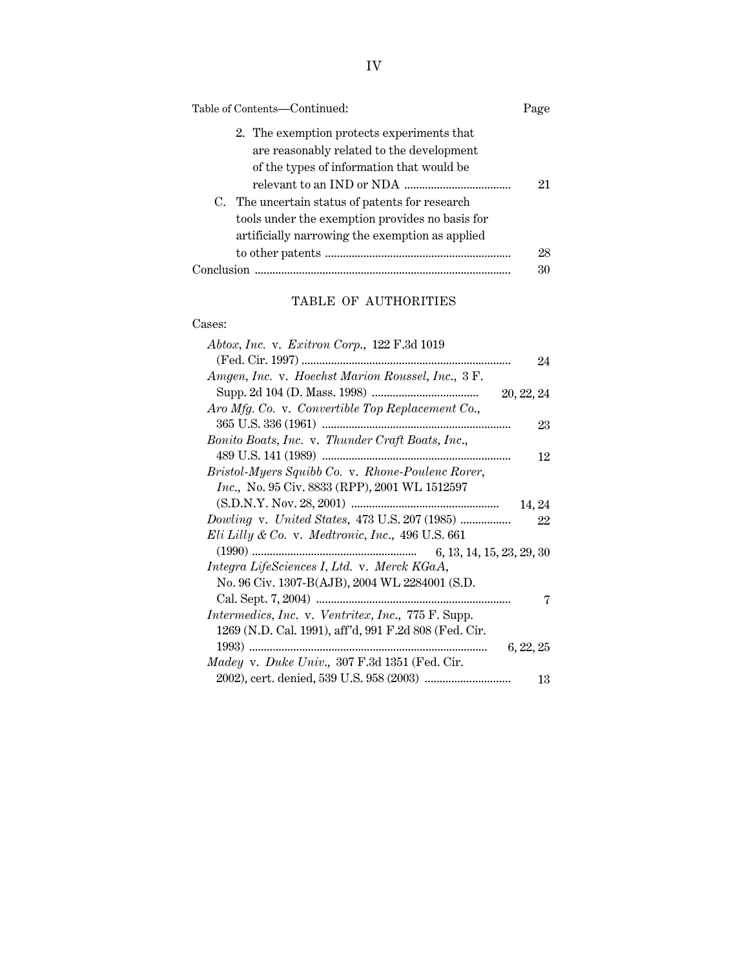| Table of Contents—Continued:                                                                                                                                                                                                               | Page |
|--------------------------------------------------------------------------------------------------------------------------------------------------------------------------------------------------------------------------------------------|------|
| 2. The exemption protects experiments that<br>are reasonably related to the development<br>of the types of information that would be<br>C. The uncertain status of patents for research<br>tools under the exemption provides no basis for | 21   |
| artificially narrowing the exemption as applied                                                                                                                                                                                            | 28   |
| Conclusion                                                                                                                                                                                                                                 | 30   |

# TABLE OF AUTHORITIES

# Cases:

| Abtox, Inc. v. Exitron Corp., $122$ F.3d 1019         |
|-------------------------------------------------------|
| 24                                                    |
| Amgen, Inc. v. Hoechst Marion Roussel, Inc., 3 F.     |
|                                                       |
| Aro Mfg. Co. v. Convertible Top Replacement Co.,      |
| 23                                                    |
| Bonito Boats, Inc. v. Thunder Craft Boats, Inc.,      |
| 12                                                    |
| Bristol-Myers Squibb Co. v. Rhone-Poulenc Rorer,      |
| <i>Inc.</i> , No. 95 Civ. 8833 (RPP), 2001 WL 1512597 |
| 14, 24                                                |
| Dowling v. United States, 473 U.S. 207 (1985)<br>22   |
| Eli Lilly & Co. v. Medtronic, Inc., 496 U.S. $661$    |
| 6, 13, 14, 15, 23, 29, 30                             |
| Integra LifeSciences I, Ltd. v. Merck KGaA,           |
| No. 96 Civ. 1307-B(AJB), 2004 WL 2284001 (S.D.        |
| 7                                                     |
| Intermedics, Inc. v. Ventritex, Inc., 775 F. Supp.    |
| 1269 (N.D. Cal. 1991), aff'd, 991 F.2d 808 (Fed. Cir. |
| 6, 22, 25                                             |
| Madey v. Duke Univ., 307 F.3d 1351 (Fed. Cir.         |
| 13                                                    |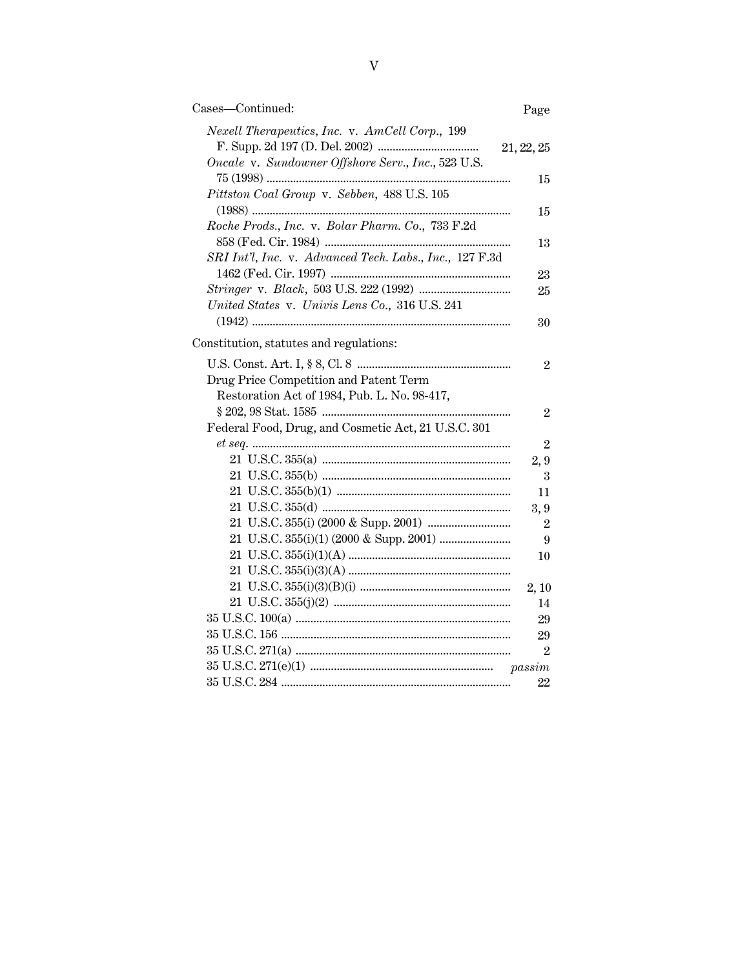| Cases-Continued:                                                                                     | Page           |
|------------------------------------------------------------------------------------------------------|----------------|
| Nexell Therapeutics, Inc. v. AmCell Corp., 199<br>Oncale v. Sundowner Offshore Serv., Inc., 523 U.S. | 21, 22, 25     |
| Pittston Coal Group v. Sebben, 488 U.S. 105                                                          | 15             |
| Roche Prods., Inc. v. Bolar Pharm. Co., 733 F.2d                                                     | 15             |
| SRI Int'l, Inc. v. Advanced Tech. Labs., Inc., 127 F.3d                                              | 13             |
|                                                                                                      | 23             |
|                                                                                                      | 25             |
| United States v. Univis Lens Co., 316 U.S. 241                                                       | 30             |
| Constitution, statutes and regulations:                                                              |                |
| Drug Price Competition and Patent Term                                                               | $\overline{2}$ |
| Restoration Act of 1984, Pub. L. No. 98-417,                                                         | $\overline{2}$ |
| Federal Food, Drug, and Cosmetic Act, 21 U.S.C. 301                                                  |                |
|                                                                                                      | $\overline{2}$ |
|                                                                                                      | 2,9            |
|                                                                                                      | 3              |
|                                                                                                      | 11             |
|                                                                                                      | 3,9            |
|                                                                                                      | $\overline{2}$ |
|                                                                                                      | 9              |
|                                                                                                      | 10             |
|                                                                                                      |                |
|                                                                                                      | 2, 10          |
|                                                                                                      | 14             |
|                                                                                                      | 29             |
|                                                                                                      | 29             |
|                                                                                                      | $\overline{2}$ |
|                                                                                                      |                |
|                                                                                                      | 22             |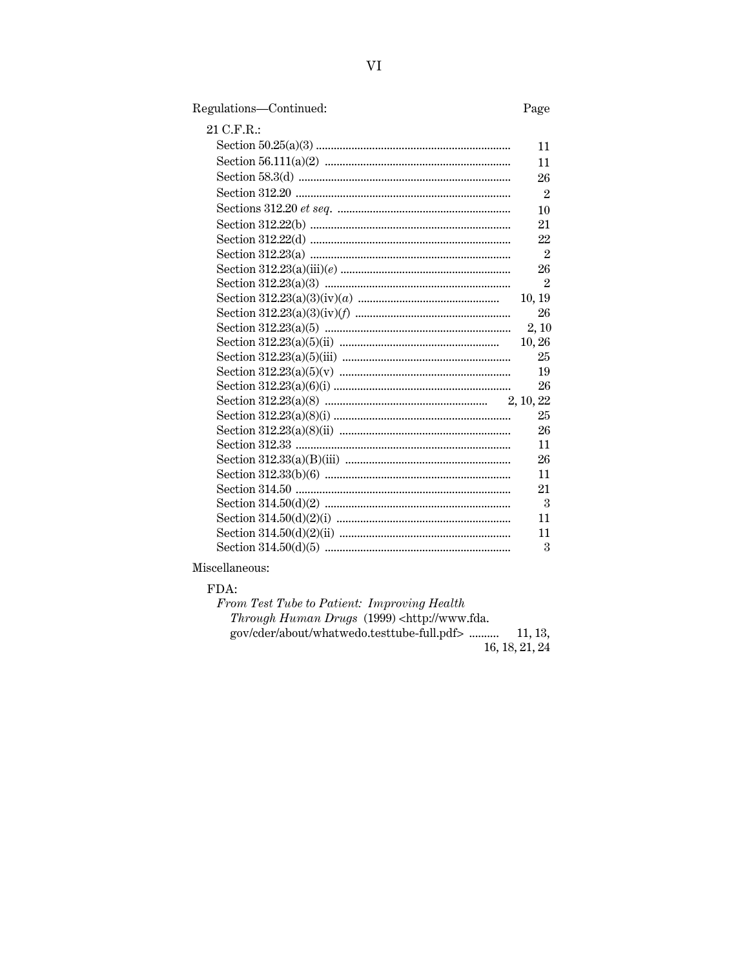# Regulations-Continued:

# Page

| 21 C.F.R.: |                             |
|------------|-----------------------------|
|            | 11                          |
|            | 11                          |
|            | 26                          |
|            | $\overline{2}$              |
|            | 10                          |
|            | 21                          |
|            | 22                          |
|            | $\overline{2}$              |
|            | 26                          |
|            | $\overline{2}$              |
|            | 10, 19                      |
|            | 26                          |
|            | 2, 10                       |
|            | 10,26                       |
|            | 25                          |
|            | 19                          |
|            | 26                          |
|            |                             |
|            | 25                          |
|            | 26                          |
|            | 11                          |
|            | 26                          |
|            | 11                          |
|            | 21                          |
|            | $\mathcal{S}_{\mathcal{S}}$ |
|            | 11                          |
|            | 11                          |
|            | 3                           |
|            |                             |

# Miscellaneous:

FDA:

| From Test Tube to Patient: Improving Health                                   |                |
|-------------------------------------------------------------------------------|----------------|
| <i>Through Human Drugs</i> (1999) <http: td="" www.fda.<=""><td></td></http:> |                |
| gov/cder/about/whatwedo.testtube-full.pdf>  11, 13,                           |                |
|                                                                               | 16, 18, 21, 24 |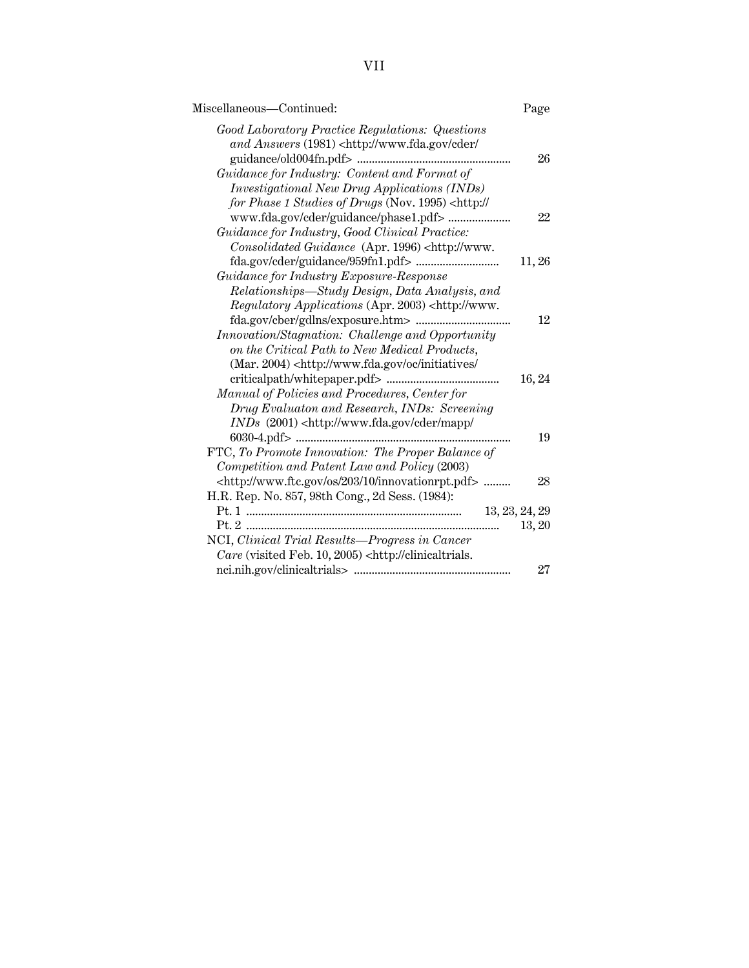| Miscellaneous—Continued:                                                                                                                     | Page           |
|----------------------------------------------------------------------------------------------------------------------------------------------|----------------|
| Good Laboratory Practice Regulations: Questions<br>and Answers (1981) <http: <br="" cder="" www.fda.gov="">guidance/old004fn.pdf&gt;</http:> | 26             |
| Guidance for Industry: Content and Format of                                                                                                 |                |
| <i>Investigational New Drug Applications (INDs)</i>                                                                                          |                |
| for Phase 1 Studies of Drugs (Nov. 1995) <http: <="" td=""><td></td></http:>                                                                 |                |
|                                                                                                                                              | 22             |
| Guidance for Industry, Good Clinical Practice:                                                                                               |                |
| Consolidated Guidance (Apr. 1996) <http: td="" www.<=""><td></td></http:>                                                                    |                |
|                                                                                                                                              | 11, 26         |
| Guidance for Industry Exposure-Response                                                                                                      |                |
| Relationships—Study Design, Data Analysis, and                                                                                               |                |
| Regulatory Applications (Apr. 2003) <http: td="" www.<=""><td></td></http:>                                                                  |                |
|                                                                                                                                              | 12             |
| Innovation/Stagnation: Challenge and Opportunity                                                                                             |                |
| on the Critical Path to New Medical Products,                                                                                                |                |
| (Mar. 2004) <http: <="" initiatives="" oc="" td="" www.fda.gov=""><td></td></http:>                                                          |                |
|                                                                                                                                              | 16, 24         |
| Manual of Policies and Procedures, Center for                                                                                                |                |
| Drug Evaluaton and Research, INDs: Screening                                                                                                 |                |
| $INDs$ (2001) <http: <="" cder="" mapp="" td="" www.fda.gov=""><td></td></http:>                                                             |                |
| 6030-4.pdf>                                                                                                                                  | 19             |
| FTC, To Promote Innovation: The Proper Balance of                                                                                            |                |
| Competition and Patent Law and Policy (2003)                                                                                                 |                |
| <http: 10="" 203="" innovationrpt.pdf="" os="" www.ftc.gov=""> </http:>                                                                      | 28             |
| H.R. Rep. No. 857, 98th Cong., 2d Sess. (1984):                                                                                              |                |
|                                                                                                                                              | 13, 23, 24, 29 |
|                                                                                                                                              | 13, 20         |
| NCI, Clinical Trial Results-Progress in Cancer                                                                                               |                |
| Care (visited Feb. 10, 2005) <http: clinicaltrials.<="" td=""><td></td></http:>                                                              |                |
|                                                                                                                                              | 27             |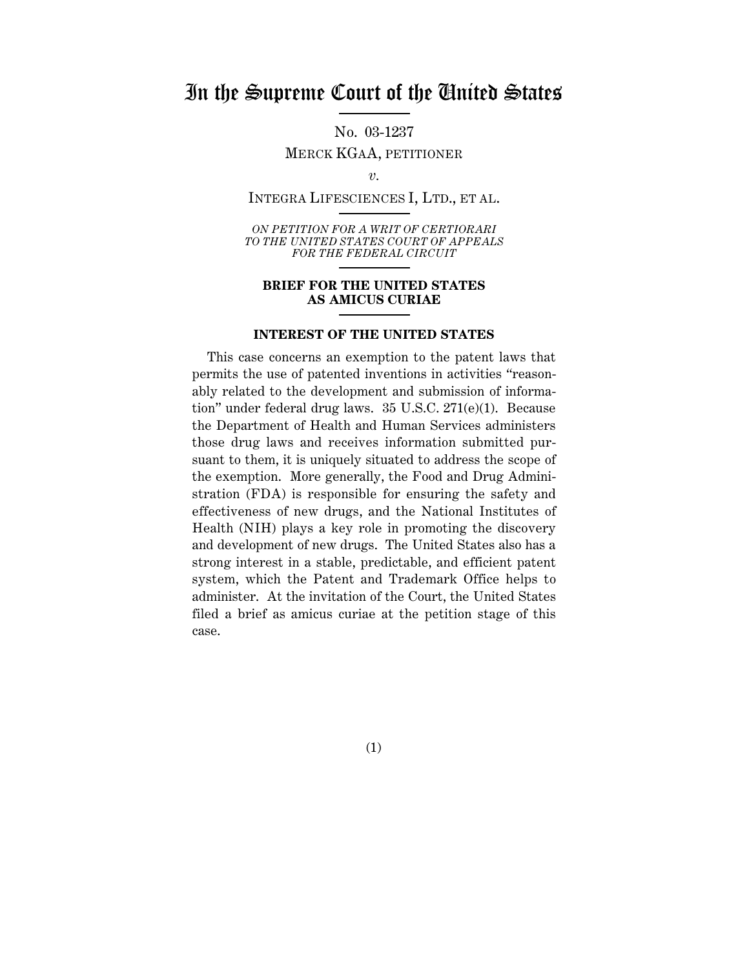# In the Supreme Court of the United States

No. 03-1237

MERCK KGAA, PETITIONER

*v.*

INTEGRA LIFESCIENCES I, LTD., ET AL.

*ON PETITION FOR A WRIT OF CERTIORARI TO THE UNITED STATES COURT OF APPEALS FOR THE FEDERAL CIRCUIT*

### **BRIEF FOR THE UNITED STATES AS AMICUS CURIAE**

#### **INTEREST OF THE UNITED STATES**

This case concerns an exemption to the patent laws that permits the use of patented inventions in activities "reasonably related to the development and submission of information" under federal drug laws. 35 U.S.C. 271(e)(1). Because the Department of Health and Human Services administers those drug laws and receives information submitted pursuant to them, it is uniquely situated to address the scope of the exemption. More generally, the Food and Drug Administration (FDA) is responsible for ensuring the safety and effectiveness of new drugs, and the National Institutes of Health (NIH) plays a key role in promoting the discovery and development of new drugs. The United States also has a strong interest in a stable, predictable, and efficient patent system, which the Patent and Trademark Office helps to administer. At the invitation of the Court, the United States filed a brief as amicus curiae at the petition stage of this case.

(1)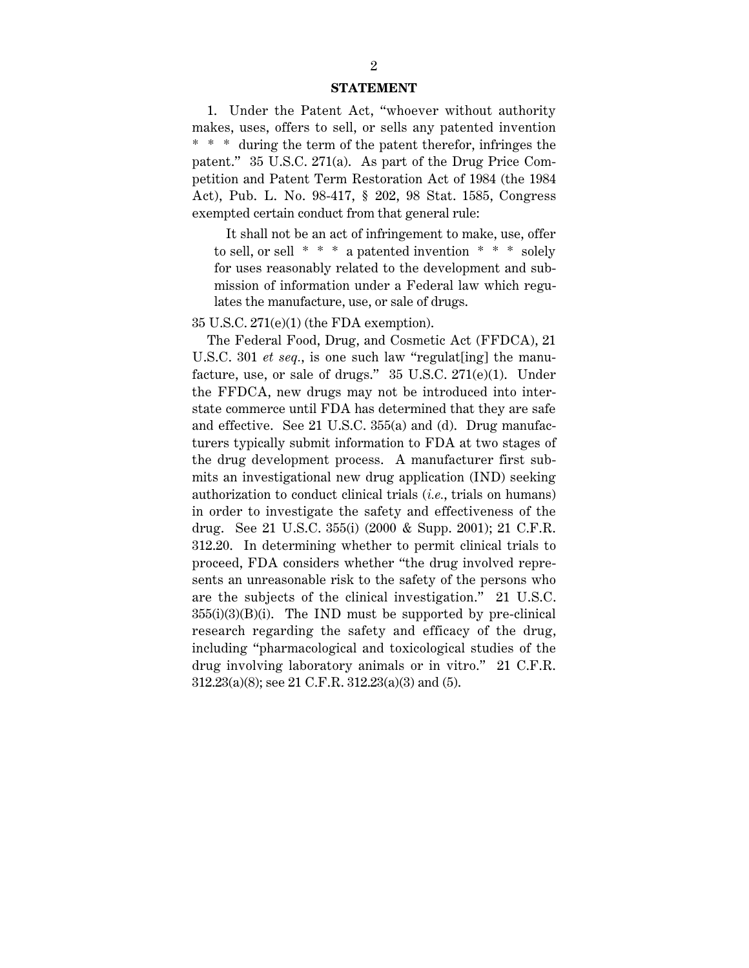#### **STATEMENT**

1. Under the Patent Act, "whoever without authority makes, uses, offers to sell, or sells any patented invention \* \* \* during the term of the patent therefor, infringes the patent." 35 U.S.C. 271(a). As part of the Drug Price Competition and Patent Term Restoration Act of 1984 (the 1984 Act), Pub. L. No. 98-417, § 202, 98 Stat. 1585, Congress exempted certain conduct from that general rule:

It shall not be an act of infringement to make, use, offer to sell, or sell  $* * * a$  patented invention  $* * * soley$ for uses reasonably related to the development and submission of information under a Federal law which regulates the manufacture, use, or sale of drugs.

35 U.S.C. 271(e)(1) (the FDA exemption).

The Federal Food, Drug, and Cosmetic Act (FFDCA), 21 U.S.C. 301 *et seq.*, is one such law "regulat [ing] the manufacture, use, or sale of drugs." 35 U.S.C. 271(e)(1). Under the FFDCA, new drugs may not be introduced into interstate commerce until FDA has determined that they are safe and effective. See 21 U.S.C. 355(a) and (d). Drug manufacturers typically submit information to FDA at two stages of the drug development process. A manufacturer first submits an investigational new drug application (IND) seeking authorization to conduct clinical trials (*i.e.*, trials on humans) in order to investigate the safety and effectiveness of the drug. See 21 U.S.C. 355(i) (2000 & Supp. 2001); 21 C.F.R. 312.20. In determining whether to permit clinical trials to proceed, FDA considers whether "the drug involved represents an unreasonable risk to the safety of the persons who are the subjects of the clinical investigation." 21 U.S.C.  $355(i)(3)(B)(i)$ . The IND must be supported by pre-clinical research regarding the safety and efficacy of the drug, including "pharmacological and toxicological studies of the drug involving laboratory animals or in vitro." 21 C.F.R. 312.23(a)(8); see 21 C.F.R. 312.23(a)(3) and (5).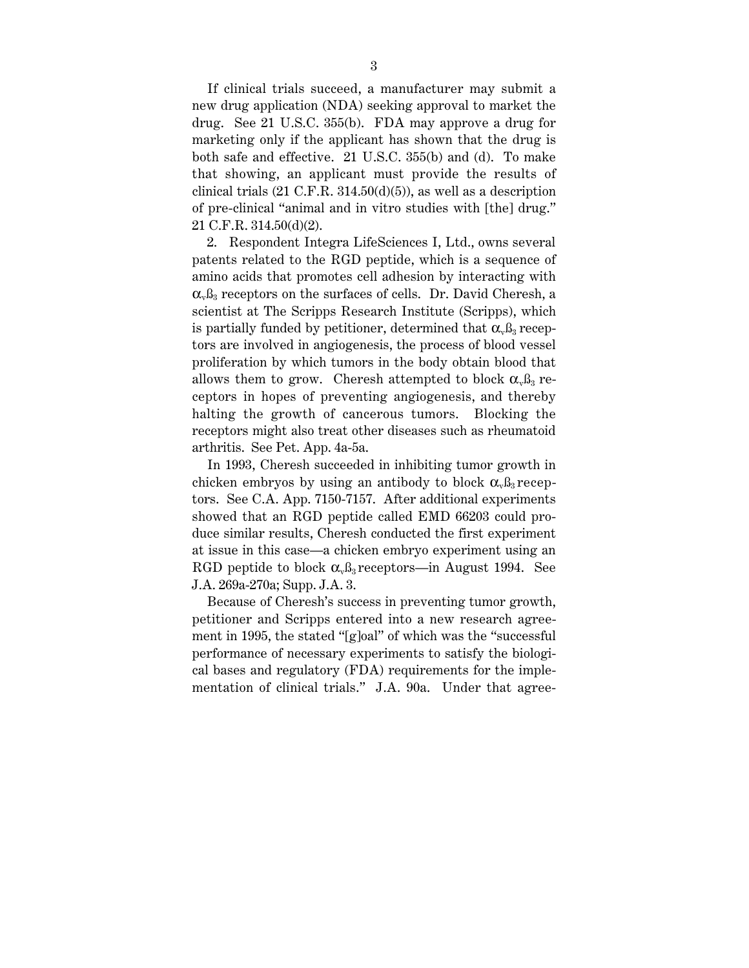If clinical trials succeed, a manufacturer may submit a new drug application (NDA) seeking approval to market the drug. See 21 U.S.C. 355(b). FDA may approve a drug for marketing only if the applicant has shown that the drug is both safe and effective. 21 U.S.C. 355(b) and (d). To make that showing, an applicant must provide the results of clinical trials  $(21 \text{ C.F.R. } 314.50(d)(5))$ , as well as a description of pre-clinical "animal and in vitro studies with [the] drug." 21 C.F.R. 314.50(d)(2).

2. Respondent Integra LifeSciences I, Ltd., owns several patents related to the RGD peptide, which is a sequence of amino acids that promotes cell adhesion by interacting with  $\alpha_{\nu}$  $\beta_{3}$  receptors on the surfaces of cells. Dr. David Cheresh, a scientist at The Scripps Research Institute (Scripps), which is partially funded by petitioner, determined that  $\alpha_{\nu} \beta_3$  receptors are involved in angiogenesis, the process of blood vessel proliferation by which tumors in the body obtain blood that allows them to grow. Cheresh attempted to block  $\alpha_{\rm v}$   $\beta_{\rm 3}$  receptors in hopes of preventing angiogenesis, and thereby halting the growth of cancerous tumors. Blocking the receptors might also treat other diseases such as rheumatoid arthritis. See Pet. App. 4a-5a.

In 1993, Cheresh succeeded in inhibiting tumor growth in chicken embryos by using an antibody to block  $\alpha_{\nu} \beta_3$  receptors. See C.A. App. 7150-7157. After additional experiments showed that an RGD peptide called EMD 66203 could produce similar results, Cheresh conducted the first experiment at issue in this case—a chicken embryo experiment using an RGD peptide to block  $\alpha_{\nu} \beta_3$  receptors—in August 1994. See J.A. 269a-270a; Supp. J.A. 3.

Because of Cheresh's success in preventing tumor growth, petitioner and Scripps entered into a new research agreement in 1995, the stated "[g]oal" of which was the "successful performance of necessary experiments to satisfy the biological bases and regulatory (FDA) requirements for the implementation of clinical trials." J.A. 90a. Under that agree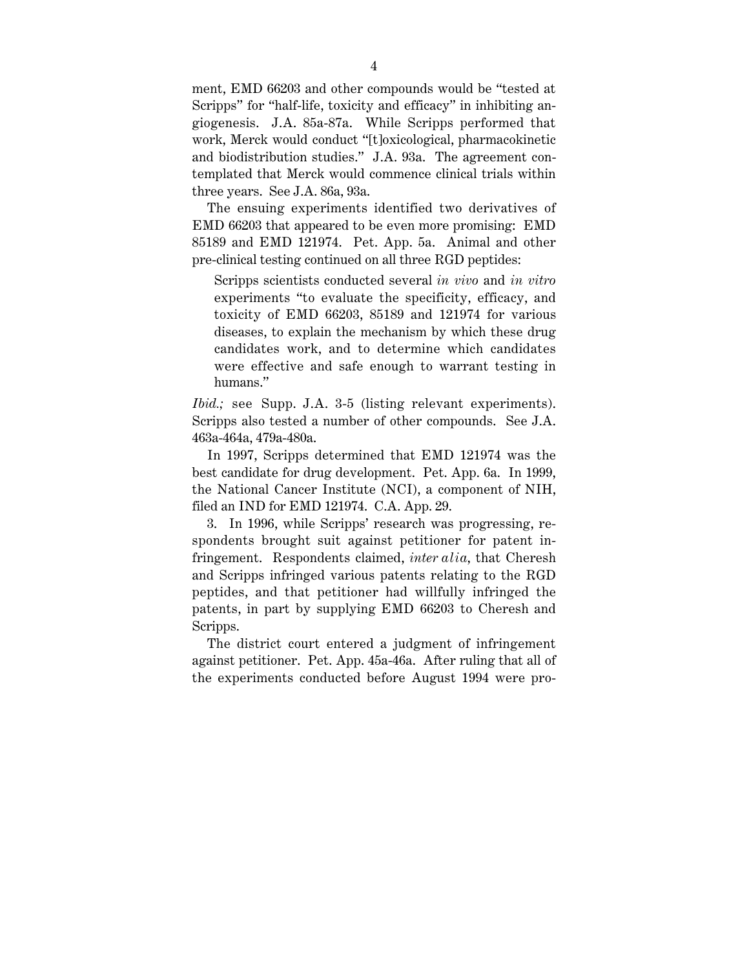ment, EMD 66203 and other compounds would be "tested at Scripps" for "half-life, toxicity and efficacy" in inhibiting angiogenesis. J.A. 85a-87a. While Scripps performed that work, Merck would conduct "[t]oxicological, pharmacokinetic and biodistribution studies." J.A. 93a. The agreement contemplated that Merck would commence clinical trials within three years. See J.A. 86a, 93a.

The ensuing experiments identified two derivatives of EMD 66203 that appeared to be even more promising: EMD 85189 and EMD 121974. Pet. App. 5a. Animal and other pre-clinical testing continued on all three RGD peptides:

Scripps scientists conducted several *in vivo* and *in vitro* experiments "to evaluate the specificity, efficacy, and toxicity of EMD 66203, 85189 and 121974 for various diseases, to explain the mechanism by which these drug candidates work, and to determine which candidates were effective and safe enough to warrant testing in humans."

*Ibid.*; see Supp. J.A. 3-5 (listing relevant experiments). Scripps also tested a number of other compounds. See J.A. 463a-464a, 479a-480a.

In 1997, Scripps determined that EMD 121974 was the best candidate for drug development. Pet. App. 6a. In 1999, the National Cancer Institute (NCI), a component of NIH, filed an IND for EMD 121974. C.A. App. 29.

3. In 1996, while Scripps' research was progressing, respondents brought suit against petitioner for patent infringement. Respondents claimed, *inter alia*, that Cheresh and Scripps infringed various patents relating to the RGD peptides, and that petitioner had willfully infringed the patents, in part by supplying EMD 66203 to Cheresh and Scripps.

The district court entered a judgment of infringement against petitioner. Pet. App. 45a-46a. After ruling that all of the experiments conducted before August 1994 were pro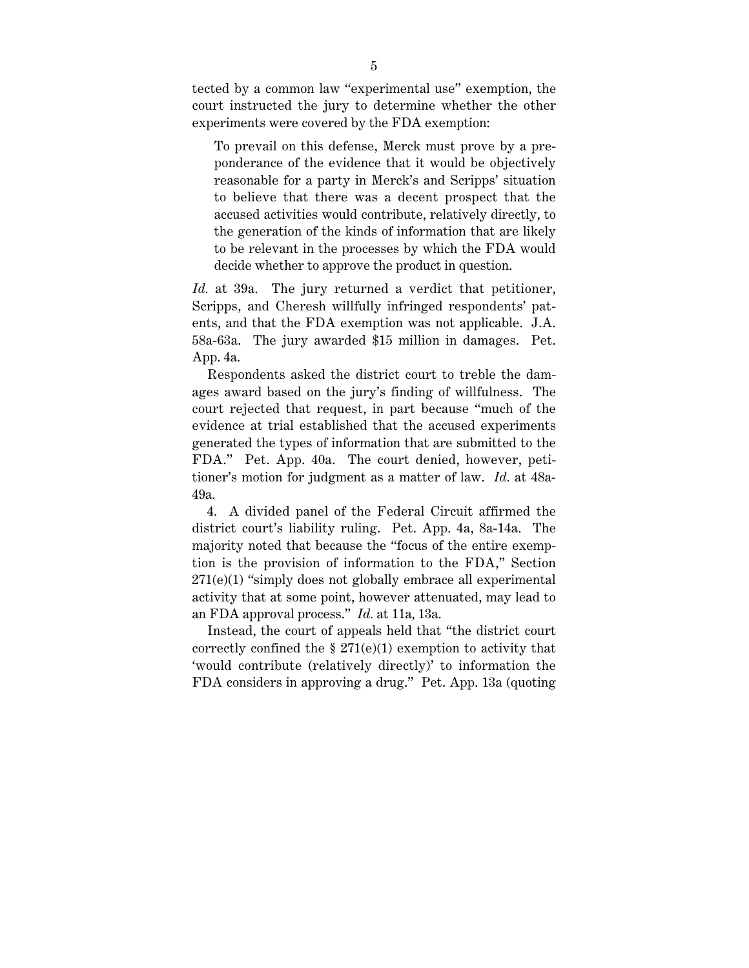tected by a common law "experimental use" exemption, the court instructed the jury to determine whether the other experiments were covered by the FDA exemption:

To prevail on this defense, Merck must prove by a preponderance of the evidence that it would be objectively reasonable for a party in Merck's and Scripps' situation to believe that there was a decent prospect that the accused activities would contribute, relatively directly, to the generation of the kinds of information that are likely to be relevant in the processes by which the FDA would decide whether to approve the product in question.

*Id.* at 39a. The jury returned a verdict that petitioner, Scripps, and Cheresh willfully infringed respondents' patents, and that the FDA exemption was not applicable. J.A. 58a-63a. The jury awarded \$15 million in damages. Pet. App. 4a.

Respondents asked the district court to treble the damages award based on the jury's finding of willfulness. The court rejected that request, in part because "much of the evidence at trial established that the accused experiments generated the types of information that are submitted to the FDA." Pet. App. 40a. The court denied, however, petitioner's motion for judgment as a matter of law. *Id.* at 48a-49a.

4. A divided panel of the Federal Circuit affirmed the district court's liability ruling. Pet. App. 4a, 8a-14a. The majority noted that because the "focus of the entire exemption is the provision of information to the FDA," Section 271(e)(1) "simply does not globally embrace all experimental activity that at some point, however attenuated, may lead to an FDA approval process." *Id.* at 11a, 13a.

Instead, the court of appeals held that "the district court correctly confined the  $\S 271(e)(1)$  exemption to activity that 'would contribute (relatively directly)' to information the FDA considers in approving a drug." Pet. App. 13a (quoting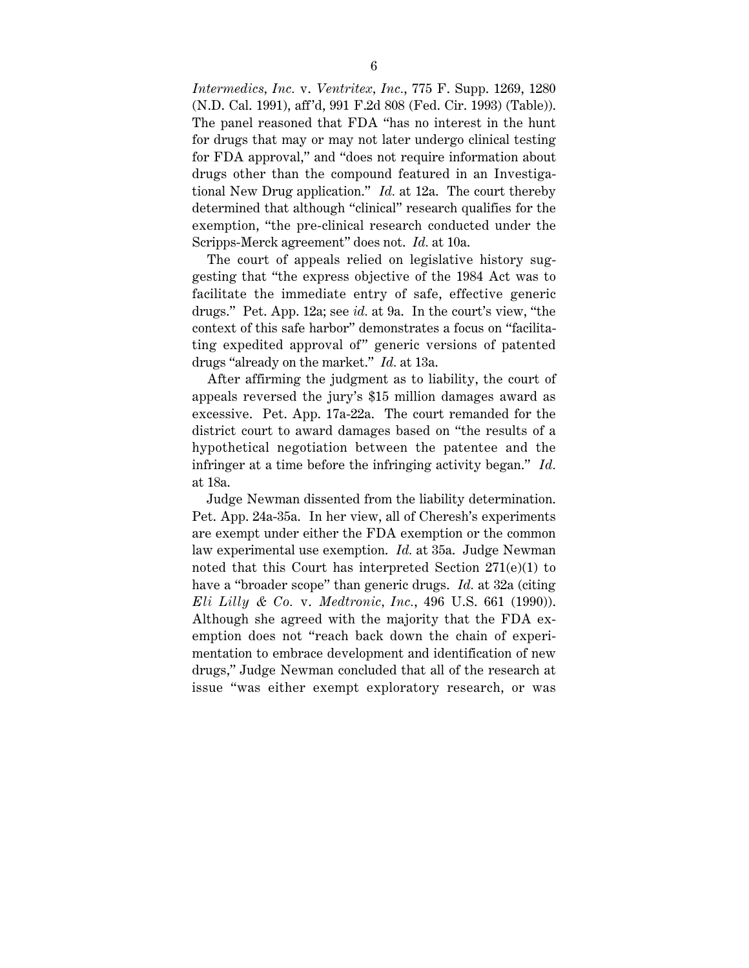*Intermedics, Inc.* v. *Ventritex, Inc.*, 775 F. Supp. 1269, 1280 (N.D. Cal. 1991), aff 'd, 991 F.2d 808 (Fed. Cir. 1993) (Table)). The panel reasoned that FDA "has no interest in the hunt for drugs that may or may not later undergo clinical testing for FDA approval," and "does not require information about drugs other than the compound featured in an Investigational New Drug application." *Id.* at 12a. The court thereby determined that although "clinical" research qualifies for the exemption, "the pre-clinical research conducted under the Scripps-Merck agreement" does not. *Id.* at 10a.

The court of appeals relied on legislative history suggesting that "the express objective of the 1984 Act was to facilitate the immediate entry of safe, effective generic drugs." Pet. App. 12a; see *id.* at 9a. In the court's view, "the context of this safe harbor" demonstrates a focus on "facilitating expedited approval of" generic versions of patented drugs "already on the market." *Id.* at 13a.

After affirming the judgment as to liability, the court of appeals reversed the jury's \$15 million damages award as excessive. Pet. App. 17a-22a. The court remanded for the district court to award damages based on "the results of a hypothetical negotiation between the patentee and the infringer at a time before the infringing activity began." *Id.* at 18a.

Judge Newman dissented from the liability determination. Pet. App. 24a-35a. In her view, all of Cheresh's experiments are exempt under either the FDA exemption or the common law experimental use exemption. *Id.* at 35a. Judge Newman noted that this Court has interpreted Section 271(e)(1) to have a "broader scope" than generic drugs. *Id.* at 32a (citing *Eli Lilly & Co.* v. *Medtronic, Inc.*, 496 U.S. 661 (1990)). Although she agreed with the majority that the FDA exemption does not "reach back down the chain of experimentation to embrace development and identification of new drugs," Judge Newman concluded that all of the research at issue "was either exempt exploratory research, or was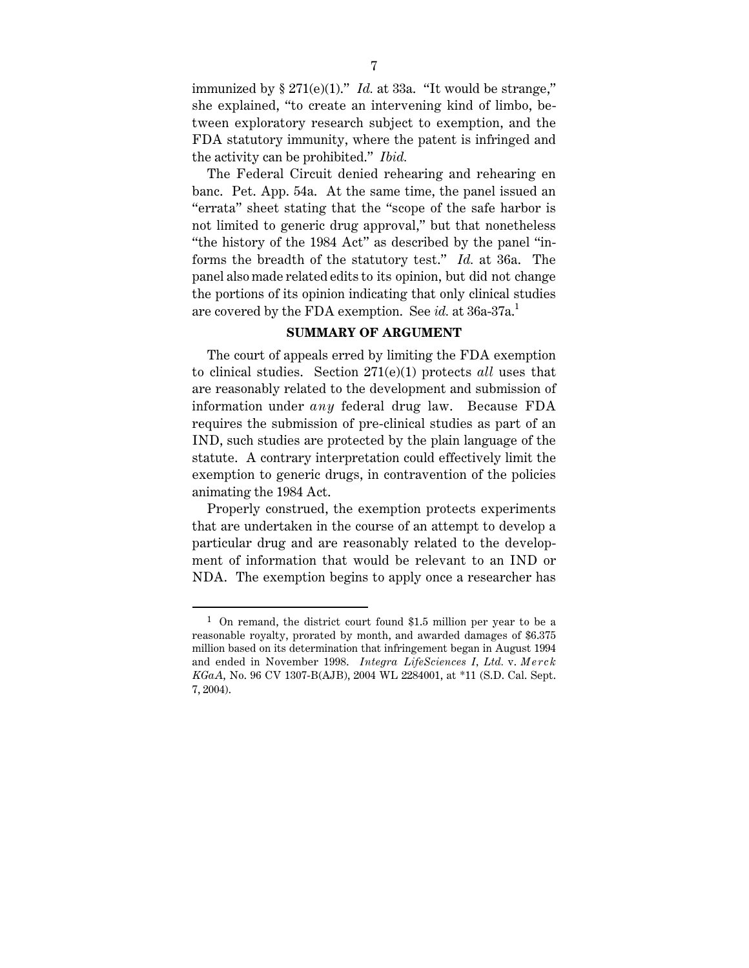immunized by  $\S 271(e)(1)$ ." *Id.* at 33a. "It would be strange," she explained, "to create an intervening kind of limbo, between exploratory research subject to exemption, and the FDA statutory immunity, where the patent is infringed and the activity can be prohibited." *Ibid.*

The Federal Circuit denied rehearing and rehearing en banc. Pet. App. 54a. At the same time, the panel issued an "errata" sheet stating that the "scope of the safe harbor is not limited to generic drug approval," but that nonetheless "the history of the 1984 Act" as described by the panel "informs the breadth of the statutory test." *Id.* at 36a. The panel also made related edits to its opinion, but did not change the portions of its opinion indicating that only clinical studies are covered by the FDA exemption. See *id.* at 36a-37a.<sup>1</sup>

### **SUMMARY OF ARGUMENT**

The court of appeals erred by limiting the FDA exemption to clinical studies. Section 271(e)(1) protects *all* uses that are reasonably related to the development and submission of information under *any* federal drug law. Because FDA requires the submission of pre-clinical studies as part of an IND, such studies are protected by the plain language of the statute. A contrary interpretation could effectively limit the exemption to generic drugs, in contravention of the policies animating the 1984 Act.

Properly construed, the exemption protects experiments that are undertaken in the course of an attempt to develop a particular drug and are reasonably related to the development of information that would be relevant to an IND or NDA. The exemption begins to apply once a researcher has

 $1$  On remand, the district court found \$1.5 million per year to be a reasonable royalty, prorated by month, and awarded damages of \$6.375 million based on its determination that infringement began in August 1994 and ended in November 1998. *Integra LifeSciences I, Ltd.* v. *Merck KGaA*, No. 96 CV 1307-B(AJB), 2004 WL 2284001, at \*11 (S.D. Cal. Sept. 7, 2004).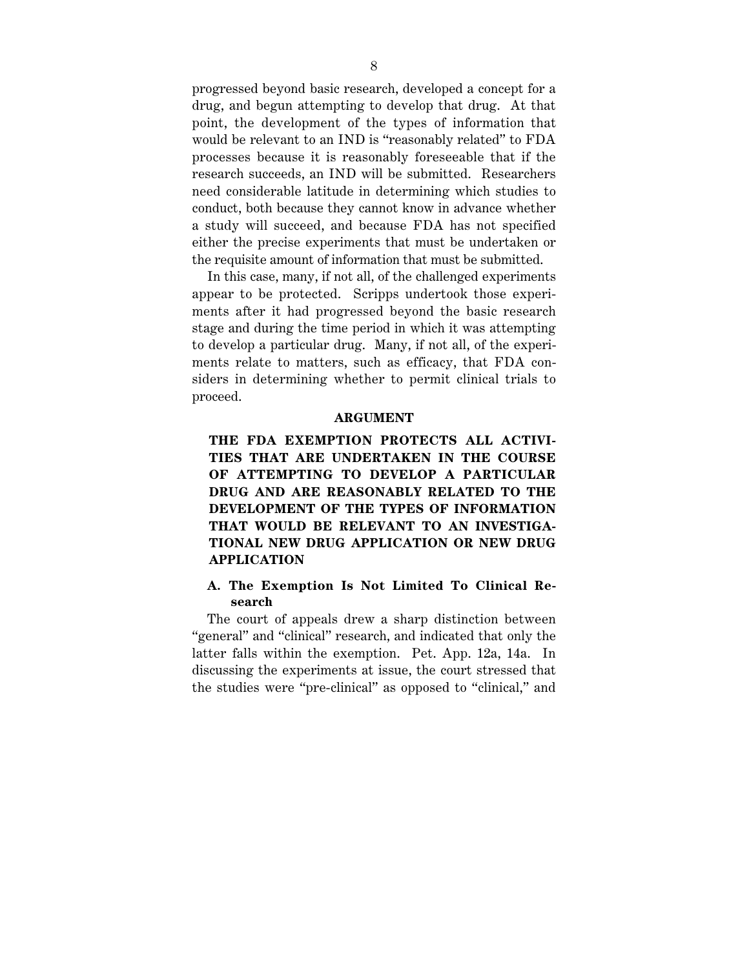progressed beyond basic research, developed a concept for a drug, and begun attempting to develop that drug. At that point, the development of the types of information that would be relevant to an IND is "reasonably related" to FDA processes because it is reasonably foreseeable that if the research succeeds, an IND will be submitted. Researchers need considerable latitude in determining which studies to conduct, both because they cannot know in advance whether a study will succeed, and because FDA has not specified either the precise experiments that must be undertaken or the requisite amount of information that must be submitted.

In this case, many, if not all, of the challenged experiments appear to be protected. Scripps undertook those experiments after it had progressed beyond the basic research stage and during the time period in which it was attempting to develop a particular drug. Many, if not all, of the experiments relate to matters, such as efficacy, that FDA considers in determining whether to permit clinical trials to proceed.

#### **ARGUMENT**

# **THE FDA EXEMPTION PROTECTS ALL ACTIVI-TIES THAT ARE UNDERTAKEN IN THE COURSE OF ATTEMPTING TO DEVELOP A PARTICULAR DRUG AND ARE REASONABLY RELATED TO THE DEVELOPMENT OF THE TYPES OF INFORMATION THAT WOULD BE RELEVANT TO AN INVESTIGA-TIONAL NEW DRUG APPLICATION OR NEW DRUG APPLICATION**

# **A. The Exemption Is Not Limited To Clinical Research**

The court of appeals drew a sharp distinction between "general" and "clinical" research, and indicated that only the latter falls within the exemption. Pet. App. 12a, 14a. In discussing the experiments at issue, the court stressed that the studies were "pre-clinical" as opposed to "clinical," and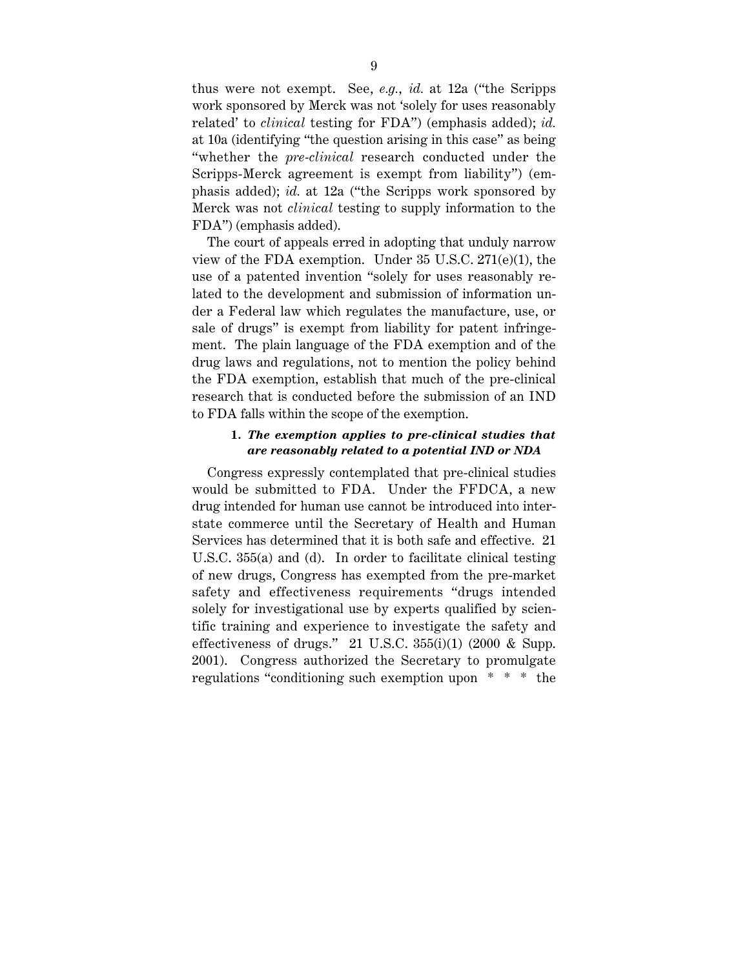thus were not exempt. See, *e.g.*, *id.* at 12a ("the Scripps work sponsored by Merck was not 'solely for uses reasonably related' to *clinical* testing for FDA") (emphasis added); *id.* at 10a (identifying "the question arising in this case" as being "whether the *pre-clinical* research conducted under the Scripps-Merck agreement is exempt from liability") (emphasis added); *id.* at 12a ("the Scripps work sponsored by Merck was not *clinical* testing to supply information to the FDA") (emphasis added).

The court of appeals erred in adopting that unduly narrow view of the FDA exemption. Under 35 U.S.C. 271(e)(1), the use of a patented invention "solely for uses reasonably related to the development and submission of information under a Federal law which regulates the manufacture, use, or sale of drugs" is exempt from liability for patent infringement. The plain language of the FDA exemption and of the drug laws and regulations, not to mention the policy behind the FDA exemption, establish that much of the pre-clinical research that is conducted before the submission of an IND to FDA falls within the scope of the exemption.

#### **1.** *The exemption applies to pre-clinical studies that are reasonably related to a potential IND or NDA*

Congress expressly contemplated that pre-clinical studies would be submitted to FDA. Under the FFDCA, a new drug intended for human use cannot be introduced into interstate commerce until the Secretary of Health and Human Services has determined that it is both safe and effective. 21 U.S.C. 355(a) and (d). In order to facilitate clinical testing of new drugs, Congress has exempted from the pre-market safety and effectiveness requirements "drugs intended solely for investigational use by experts qualified by scientific training and experience to investigate the safety and effectiveness of drugs." 21 U.S.C.  $355(i)(1)$  (2000 & Supp. 2001). Congress authorized the Secretary to promulgate regulations "conditioning such exemption upon \* \* \* the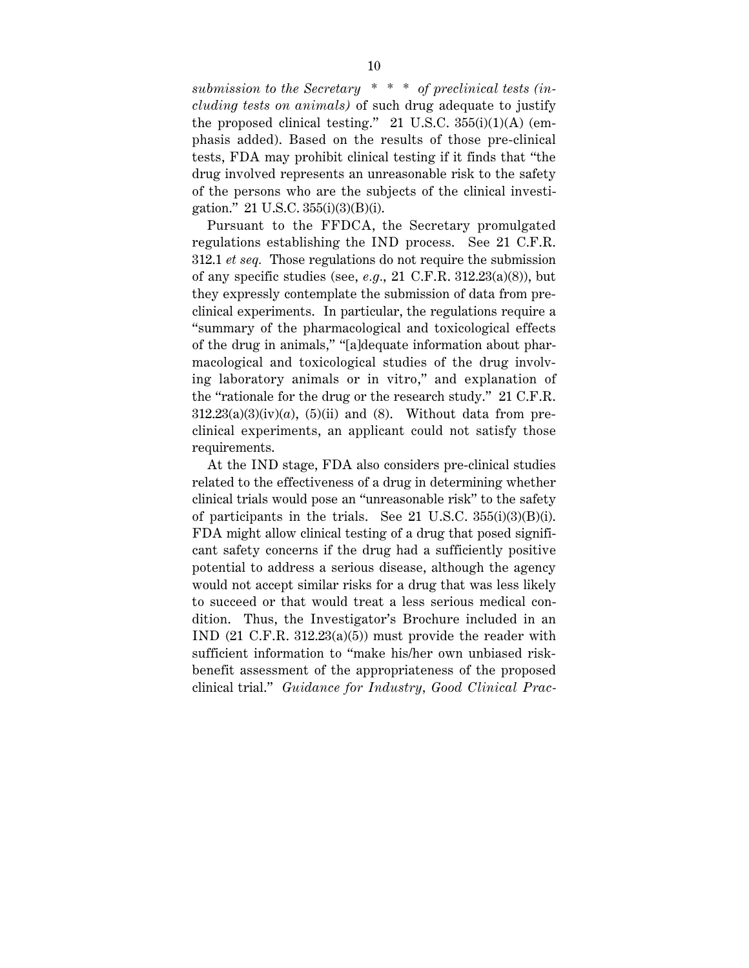*submission to the Secretary \* \* \* of preclinical tests (including tests on animals)* of such drug adequate to justify the proposed clinical testing." 21 U.S.C. 355(i)(1)(A) (emphasis added). Based on the results of those pre-clinical tests, FDA may prohibit clinical testing if it finds that "the drug involved represents an unreasonable risk to the safety of the persons who are the subjects of the clinical investigation." 21 U.S.C. 355(i)(3)(B)(i).

Pursuant to the FFDCA, the Secretary promulgated regulations establishing the IND process. See 21 C.F.R. 312.1 *et seq.* Those regulations do not require the submission of any specific studies (see, *e.g.*, 21 C.F.R. 312.23(a)(8)), but they expressly contemplate the submission of data from preclinical experiments. In particular, the regulations require a "summary of the pharmacological and toxicological effects of the drug in animals," "[a]dequate information about pharmacological and toxicological studies of the drug involving laboratory animals or in vitro," and explanation of the "rationale for the drug or the research study." 21 C.F.R.  $312.23(a)(3)(iv)(a)$ ,  $(5)(ii)$  and  $(8)$ . Without data from preclinical experiments, an applicant could not satisfy those requirements.

At the IND stage, FDA also considers pre-clinical studies related to the effectiveness of a drug in determining whether clinical trials would pose an "unreasonable risk" to the safety of participants in the trials. See 21 U.S.C. 355(i)(3)(B)(i). FDA might allow clinical testing of a drug that posed significant safety concerns if the drug had a sufficiently positive potential to address a serious disease, although the agency would not accept similar risks for a drug that was less likely to succeed or that would treat a less serious medical condition. Thus, the Investigator's Brochure included in an IND (21 C.F.R. 312.23(a)(5)) must provide the reader with sufficient information to "make his/her own unbiased riskbenefit assessment of the appropriateness of the proposed clinical trial." *Guidance for Industry, Good Clinical Prac-*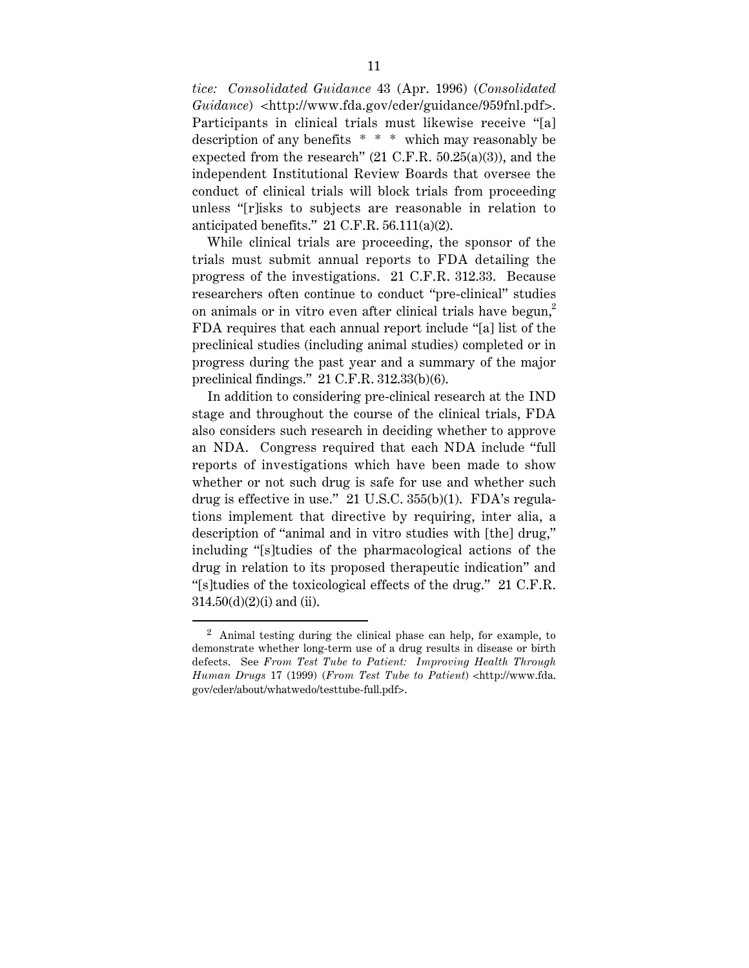*tice: Consolidated Guidance* 43 (Apr. 1996) (*Consolidated Guidance*) <http://www.fda.gov/cder/guidance/959fnl.pdf>. Participants in clinical trials must likewise receive "[a] description of any benefits \* \* \* which may reasonably be expected from the research" (21 C.F.R. 50.25(a)(3)), and the independent Institutional Review Boards that oversee the conduct of clinical trials will block trials from proceeding unless "[r]isks to subjects are reasonable in relation to anticipated benefits." 21 C.F.R. 56.111(a)(2).

While clinical trials are proceeding, the sponsor of the trials must submit annual reports to FDA detailing the progress of the investigations. 21 C.F.R. 312.33. Because researchers often continue to conduct "pre-clinical" studies on animals or in vitro even after clinical trials have begun,<sup>2</sup> FDA requires that each annual report include "[a] list of the preclinical studies (including animal studies) completed or in progress during the past year and a summary of the major preclinical findings." 21 C.F.R. 312.33(b)(6).

In addition to considering pre-clinical research at the IND stage and throughout the course of the clinical trials, FDA also considers such research in deciding whether to approve an NDA. Congress required that each NDA include "full reports of investigations which have been made to show whether or not such drug is safe for use and whether such drug is effective in use." 21 U.S.C. 355(b)(1). FDA's regulations implement that directive by requiring, inter alia, a description of "animal and in vitro studies with [the] drug," including "[s]tudies of the pharmacological actions of the drug in relation to its proposed therapeutic indication" and "[s]tudies of the toxicological effects of the drug." 21 C.F.R.  $314.50(d)(2)(i)$  and (ii).

 <sup>2</sup> Animal testing during the clinical phase can help, for example, to demonstrate whether long-term use of a drug results in disease or birth defects. See *From Test Tube to Patient: Improving Health Through Human Drugs* 17 (1999) (*From Test Tube to Patient*) <http://www.fda. gov/cder/about/whatwedo/testtube-full.pdf>.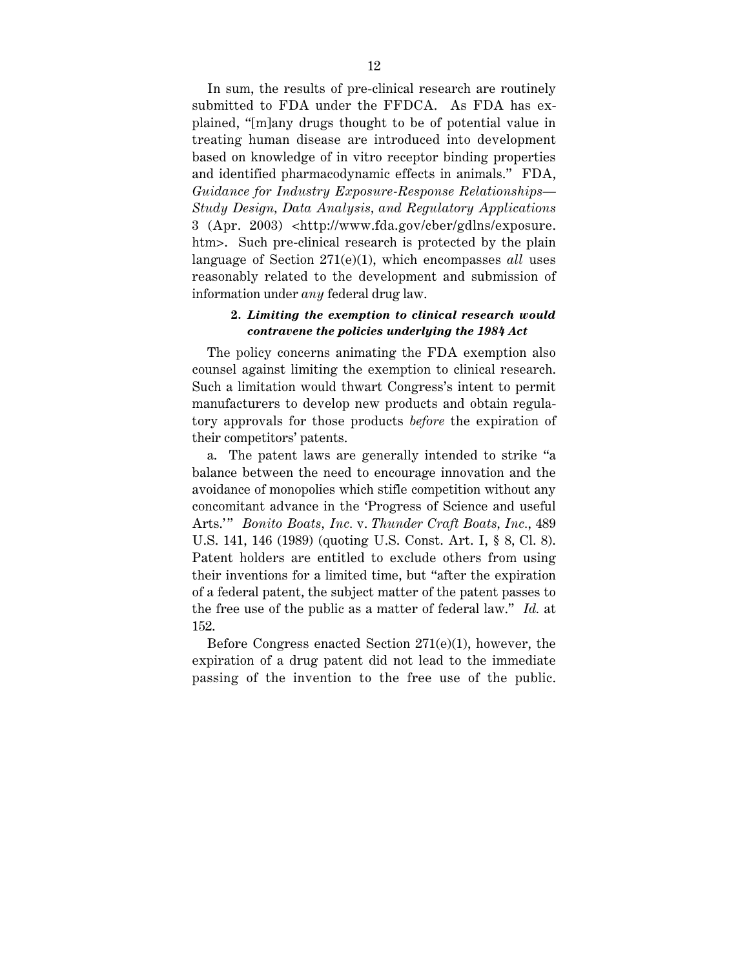In sum, the results of pre-clinical research are routinely submitted to FDA under the FFDCA. As FDA has explained, "[m]any drugs thought to be of potential value in treating human disease are introduced into development based on knowledge of in vitro receptor binding properties and identified pharmacodynamic effects in animals." FDA, *Guidance for Industry Exposure-Response Relationships— Study Design, Data Analysis, and Regulatory Applications* 3 (Apr. 2003) <http://www.fda.gov/cber/gdlns/exposure. htm>. Such pre-clinical research is protected by the plain language of Section 271(e)(1), which encompasses *all* uses reasonably related to the development and submission of information under *any* federal drug law.

### **2.** *Limiting the exemption to clinical research would contravene the policies underlying the 1984 Act*

The policy concerns animating the FDA exemption also counsel against limiting the exemption to clinical research. Such a limitation would thwart Congress's intent to permit manufacturers to develop new products and obtain regulatory approvals for those products *before* the expiration of their competitors' patents.

a. The patent laws are generally intended to strike "a balance between the need to encourage innovation and the avoidance of monopolies which stifle competition without any concomitant advance in the 'Progress of Science and useful Arts." Bonito Boats, Inc. v. Thunder Craft Boats, Inc., 489 U.S. 141, 146 (1989) (quoting U.S. Const. Art. I, § 8, Cl. 8). Patent holders are entitled to exclude others from using their inventions for a limited time, but "after the expiration of a federal patent, the subject matter of the patent passes to the free use of the public as a matter of federal law." *Id.* at 152.

Before Congress enacted Section 271(e)(1), however, the expiration of a drug patent did not lead to the immediate passing of the invention to the free use of the public.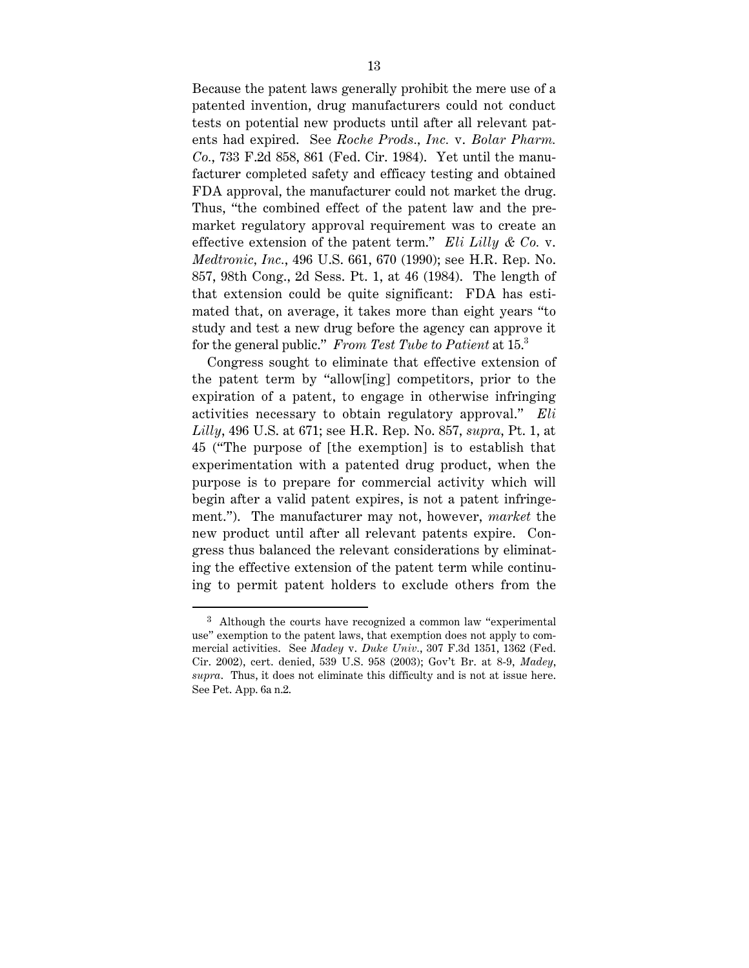Because the patent laws generally prohibit the mere use of a patented invention, drug manufacturers could not conduct tests on potential new products until after all relevant patents had expired. See *Roche Prods., Inc.* v. *Bolar Pharm. Co.*, 733 F.2d 858, 861 (Fed. Cir. 1984). Yet until the manufacturer completed safety and efficacy testing and obtained FDA approval, the manufacturer could not market the drug. Thus, "the combined effect of the patent law and the premarket regulatory approval requirement was to create an effective extension of the patent term." *Eli Lilly & Co.* v. *Medtronic, Inc.*, 496 U.S. 661, 670 (1990); see H.R. Rep. No. 857, 98th Cong., 2d Sess. Pt. 1, at 46 (1984). The length of that extension could be quite significant: FDA has estimated that, on average, it takes more than eight years "to study and test a new drug before the agency can approve it for the general public." *From Test Tube to Patient* at 15.<sup>3</sup>

Congress sought to eliminate that effective extension of the patent term by "allow[ing] competitors, prior to the expiration of a patent, to engage in otherwise infringing activities necessary to obtain regulatory approval." *Eli Lilly*, 496 U.S. at 671; see H.R. Rep. No. 857, *supra*, Pt. 1, at 45 ("The purpose of [the exemption] is to establish that experimentation with a patented drug product, when the purpose is to prepare for commercial activity which will begin after a valid patent expires, is not a patent infringement."). The manufacturer may not, however, *market* the new product until after all relevant patents expire. Congress thus balanced the relevant considerations by eliminating the effective extension of the patent term while continuing to permit patent holders to exclude others from the

 <sup>3</sup> Although the courts have recognized a common law "experimental use" exemption to the patent laws, that exemption does not apply to commercial activities. See *Madey* v. *Duke Univ.*, 307 F.3d 1351, 1362 (Fed. Cir. 2002), cert. denied, 539 U.S. 958 (2003); Gov't Br. at 8-9, *Madey*, *supra*. Thus, it does not eliminate this difficulty and is not at issue here. See Pet. App. 6a n.2.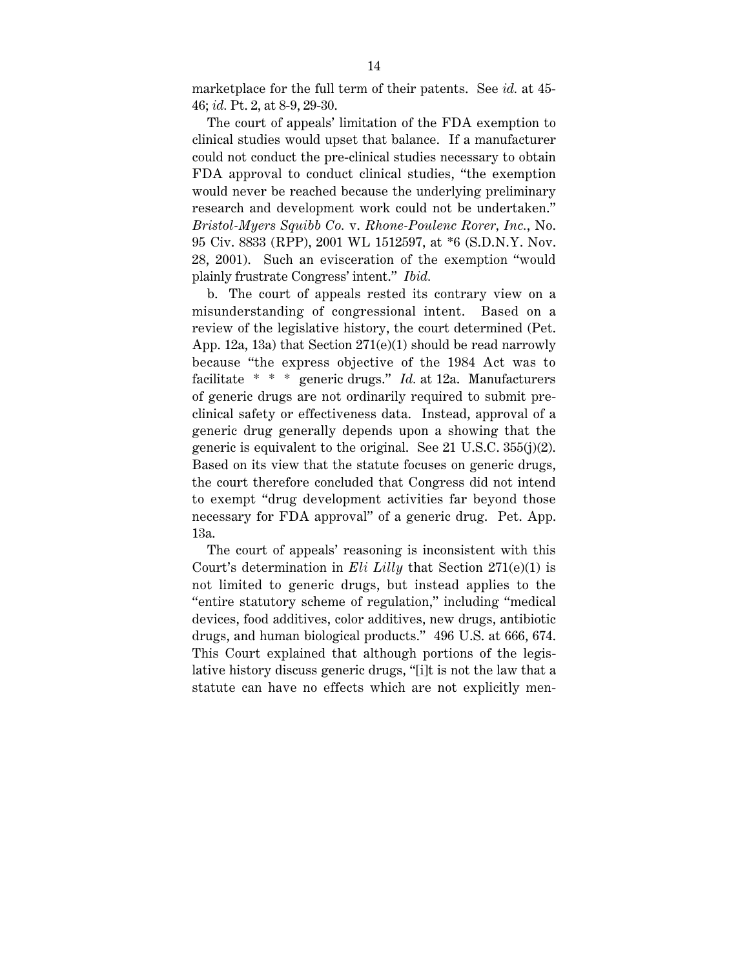marketplace for the full term of their patents. See *id.* at 45- 46; *id.* Pt. 2, at 8-9, 29-30.

The court of appeals' limitation of the FDA exemption to clinical studies would upset that balance. If a manufacturer could not conduct the pre-clinical studies necessary to obtain FDA approval to conduct clinical studies, "the exemption would never be reached because the underlying preliminary research and development work could not be undertaken." *Bristol-Myers Squibb Co.* v. *Rhone-Poulenc Rorer, Inc.*, No. 95 Civ. 8833 (RPP), 2001 WL 1512597, at \*6 (S.D.N.Y. Nov. 28, 2001). Such an evisceration of the exemption "would plainly frustrate Congress' intent." *Ibid.*

b. The court of appeals rested its contrary view on a misunderstanding of congressional intent. Based on a review of the legislative history, the court determined (Pet. App. 12a, 13a) that Section 271(e)(1) should be read narrowly because "the express objective of the 1984 Act was to facilitate \* \* \* generic drugs." *Id.* at 12a. Manufacturers of generic drugs are not ordinarily required to submit preclinical safety or effectiveness data. Instead, approval of a generic drug generally depends upon a showing that the generic is equivalent to the original. See 21 U.S.C. 355(j)(2). Based on its view that the statute focuses on generic drugs, the court therefore concluded that Congress did not intend to exempt "drug development activities far beyond those necessary for FDA approval" of a generic drug. Pet. App. 13a.

The court of appeals' reasoning is inconsistent with this Court's determination in *Eli Lilly* that Section 271(e)(1) is not limited to generic drugs, but instead applies to the "entire statutory scheme of regulation," including "medical devices, food additives, color additives, new drugs, antibiotic drugs, and human biological products." 496 U.S. at 666, 674. This Court explained that although portions of the legislative history discuss generic drugs, "[i]t is not the law that a statute can have no effects which are not explicitly men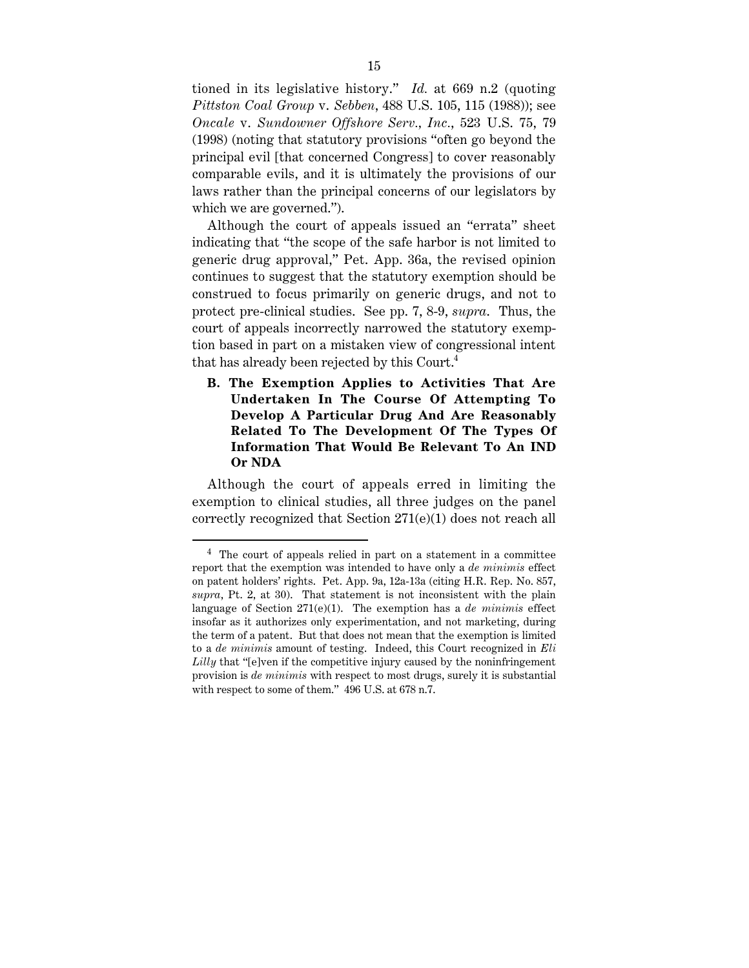tioned in its legislative history." *Id.* at 669 n.2 (quoting *Pittston Coal Group* v. *Sebben*, 488 U.S. 105, 115 (1988)); see *Oncale* v. *Sundowner Offshore Serv., Inc.*, 523 U.S. 75, 79 (1998) (noting that statutory provisions "often go beyond the principal evil [that concerned Congress] to cover reasonably comparable evils, and it is ultimately the provisions of our laws rather than the principal concerns of our legislators by which we are governed.").

Although the court of appeals issued an "errata" sheet indicating that "the scope of the safe harbor is not limited to generic drug approval," Pet. App. 36a, the revised opinion continues to suggest that the statutory exemption should be construed to focus primarily on generic drugs, and not to protect pre-clinical studies. See pp. 7, 8-9, *supra*. Thus, the court of appeals incorrectly narrowed the statutory exemption based in part on a mistaken view of congressional intent that has already been rejected by this Court.<sup>4</sup>

**B. The Exemption Applies to Activities That Are Undertaken In The Course Of Attempting To Develop A Particular Drug And Are Reasonably Related To The Development Of The Types Of Information That Would Be Relevant To An IND Or NDA**

Although the court of appeals erred in limiting the exemption to clinical studies, all three judges on the panel correctly recognized that Section 271(e)(1) does not reach all

 <sup>4</sup> The court of appeals relied in part on a statement in a committee report that the exemption was intended to have only a *de minimis* effect on patent holders' rights. Pet. App. 9a, 12a-13a (citing H.R. Rep. No. 857, *supra*, Pt. 2, at 30). That statement is not inconsistent with the plain language of Section 271(e)(1). The exemption has a *de minimis* effect insofar as it authorizes only experimentation, and not marketing, during the term of a patent. But that does not mean that the exemption is limited to a *de minimis* amount of testing. Indeed, this Court recognized in *Eli Lilly* that "[e]ven if the competitive injury caused by the noninfringement provision is *de minimis* with respect to most drugs, surely it is substantial with respect to some of them." 496 U.S. at 678 n.7.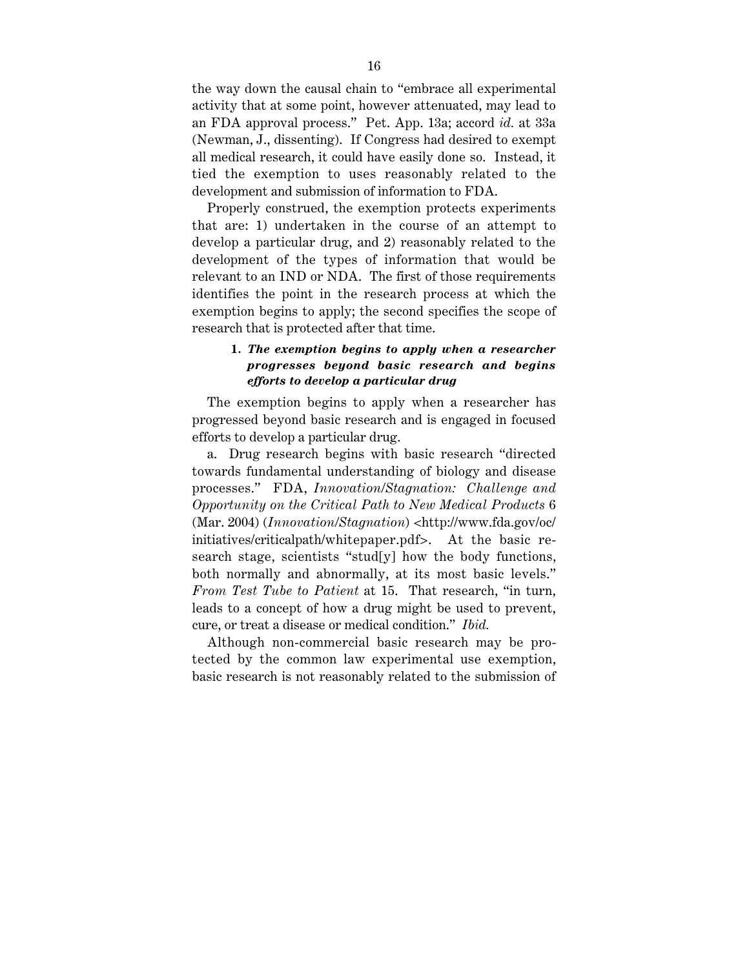the way down the causal chain to "embrace all experimental activity that at some point, however attenuated, may lead to an FDA approval process." Pet. App. 13a; accord *id.* at 33a (Newman, J., dissenting). If Congress had desired to exempt all medical research, it could have easily done so. Instead, it tied the exemption to uses reasonably related to the development and submission of information to FDA.

Properly construed, the exemption protects experiments that are: 1) undertaken in the course of an attempt to develop a particular drug, and 2) reasonably related to the development of the types of information that would be relevant to an IND or NDA. The first of those requirements identifies the point in the research process at which the exemption begins to apply; the second specifies the scope of research that is protected after that time.

### **1.** *The exemption begins to apply when a researcher progresses beyond basic research and begins efforts to develop a particular drug*

The exemption begins to apply when a researcher has progressed beyond basic research and is engaged in focused efforts to develop a particular drug.

a. Drug research begins with basic research "directed towards fundamental understanding of biology and disease processes." FDA, *Innovation/Stagnation: Challenge and Opportunity on the Critical Path to New Medical Products* 6 (Mar. 2004) (*Innovation/Stagnation*) <http://www.fda.gov/oc/ initiatives/criticalpath/whitepaper.pdf>. At the basic research stage, scientists "stud[y] how the body functions, both normally and abnormally, at its most basic levels." *From Test Tube to Patient* at 15. That research, "in turn, leads to a concept of how a drug might be used to prevent, cure, or treat a disease or medical condition." *Ibid.*

Although non-commercial basic research may be protected by the common law experimental use exemption, basic research is not reasonably related to the submission of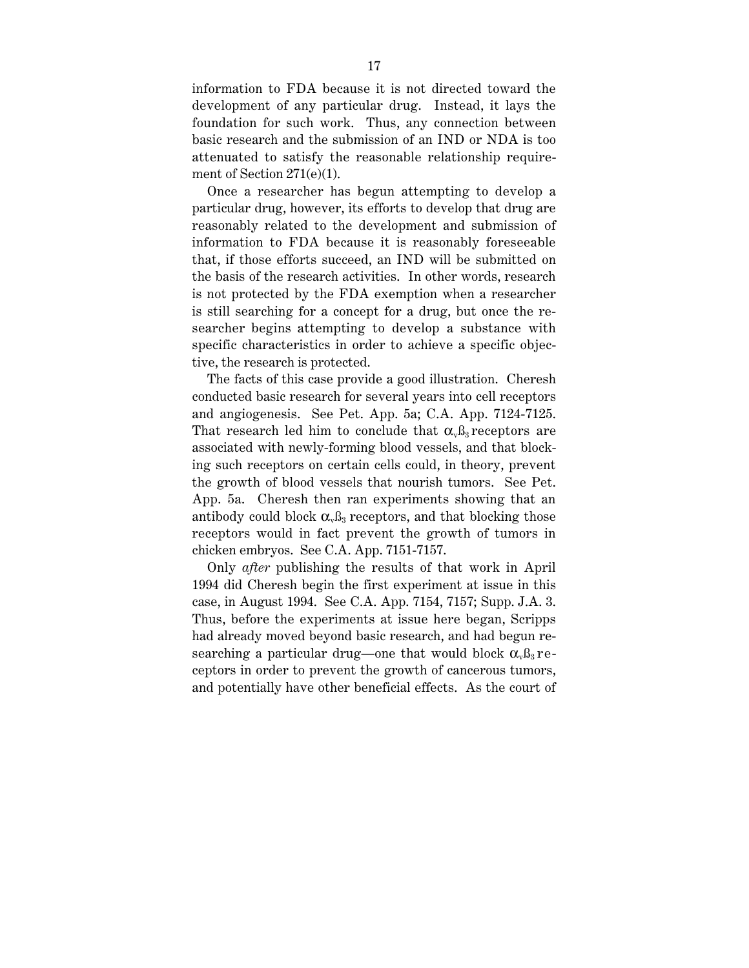information to FDA because it is not directed toward the development of any particular drug. Instead, it lays the foundation for such work. Thus, any connection between basic research and the submission of an IND or NDA is too attenuated to satisfy the reasonable relationship requirement of Section 271(e)(1).

Once a researcher has begun attempting to develop a particular drug, however, its efforts to develop that drug are reasonably related to the development and submission of information to FDA because it is reasonably foreseeable that, if those efforts succeed, an IND will be submitted on the basis of the research activities. In other words, research is not protected by the FDA exemption when a researcher is still searching for a concept for a drug, but once the researcher begins attempting to develop a substance with specific characteristics in order to achieve a specific objective, the research is protected.

The facts of this case provide a good illustration. Cheresh conducted basic research for several years into cell receptors and angiogenesis. See Pet. App. 5a; C.A. App. 7124-7125. That research led him to conclude that  $\alpha_{\nu} \beta_3$  receptors are associated with newly-forming blood vessels, and that blocking such receptors on certain cells could, in theory, prevent the growth of blood vessels that nourish tumors. See Pet. App. 5a. Cheresh then ran experiments showing that an antibody could block  $\alpha_{\nu} \beta_3$  receptors, and that blocking those receptors would in fact prevent the growth of tumors in chicken embryos. See C.A. App. 7151-7157.

Only *after* publishing the results of that work in April 1994 did Cheresh begin the first experiment at issue in this case, in August 1994. See C.A. App. 7154, 7157; Supp. J.A. 3. Thus, before the experiments at issue here began, Scripps had already moved beyond basic research, and had begun researching a particular drug—one that would block  $\alpha_{\nu} \beta_3$  receptors in order to prevent the growth of cancerous tumors, and potentially have other beneficial effects. As the court of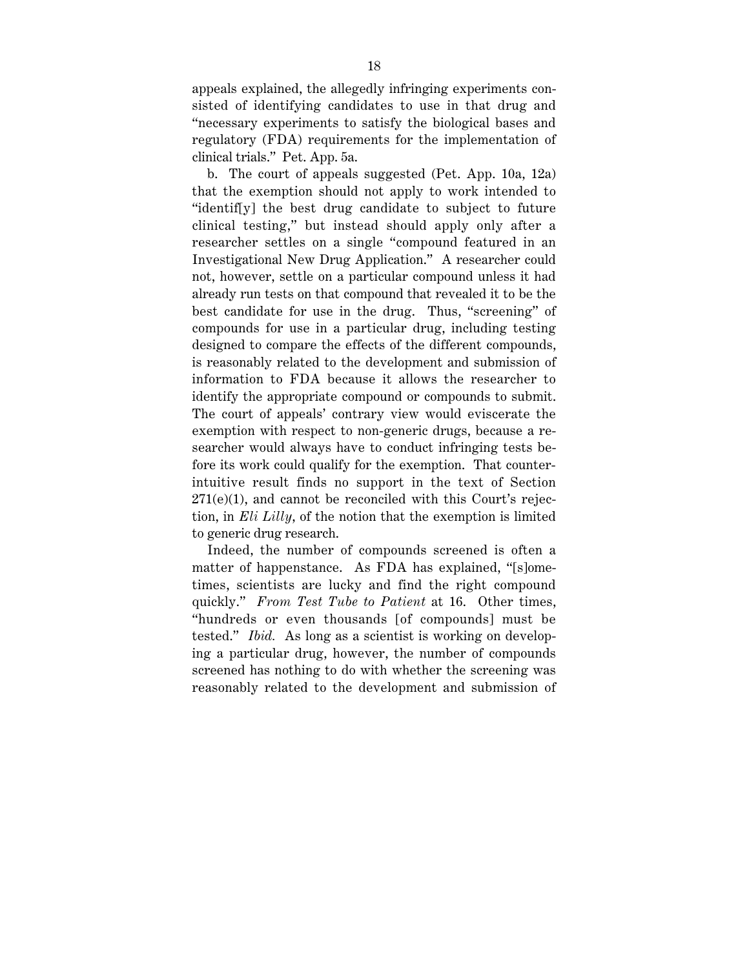appeals explained, the allegedly infringing experiments consisted of identifying candidates to use in that drug and "necessary experiments to satisfy the biological bases and regulatory (FDA) requirements for the implementation of clinical trials." Pet. App. 5a.

b. The court of appeals suggested (Pet. App. 10a, 12a) that the exemption should not apply to work intended to "identif[y] the best drug candidate to subject to future clinical testing," but instead should apply only after a researcher settles on a single "compound featured in an Investigational New Drug Application." A researcher could not, however, settle on a particular compound unless it had already run tests on that compound that revealed it to be the best candidate for use in the drug. Thus, "screening" of compounds for use in a particular drug, including testing designed to compare the effects of the different compounds, is reasonably related to the development and submission of information to FDA because it allows the researcher to identify the appropriate compound or compounds to submit. The court of appeals' contrary view would eviscerate the exemption with respect to non-generic drugs, because a researcher would always have to conduct infringing tests before its work could qualify for the exemption. That counterintuitive result finds no support in the text of Section 271(e)(1), and cannot be reconciled with this Court's rejection, in *Eli Lilly*, of the notion that the exemption is limited to generic drug research.

Indeed, the number of compounds screened is often a matter of happenstance. As FDA has explained, "[s]ometimes, scientists are lucky and find the right compound quickly." *From Test Tube to Patient* at 16. Other times, "hundreds or even thousands [of compounds] must be tested." *Ibid.* As long as a scientist is working on developing a particular drug, however, the number of compounds screened has nothing to do with whether the screening was reasonably related to the development and submission of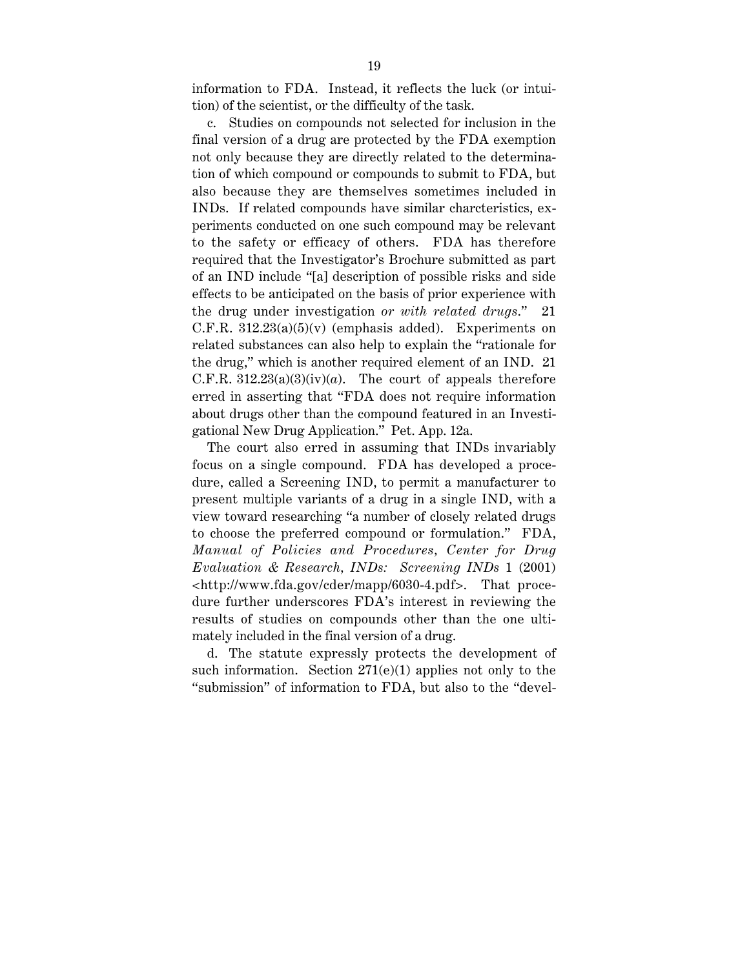information to FDA. Instead, it reflects the luck (or intuition) of the scientist, or the difficulty of the task.

c. Studies on compounds not selected for inclusion in the final version of a drug are protected by the FDA exemption not only because they are directly related to the determination of which compound or compounds to submit to FDA, but also because they are themselves sometimes included in INDs. If related compounds have similar charcteristics, experiments conducted on one such compound may be relevant to the safety or efficacy of others. FDA has therefore required that the Investigator's Brochure submitted as part of an IND include "[a] description of possible risks and side effects to be anticipated on the basis of prior experience with the drug under investigation *or with related drugs*." 21 C.F.R.  $312.23(a)(5)(v)$  (emphasis added). Experiments on related substances can also help to explain the "rationale for the drug," which is another required element of an IND. 21 C.F.R.  $312.23(a)(3)(iv)(a)$ . The court of appeals therefore erred in asserting that "FDA does not require information about drugs other than the compound featured in an Investigational New Drug Application." Pet. App. 12a.

The court also erred in assuming that INDs invariably focus on a single compound. FDA has developed a procedure, called a Screening IND, to permit a manufacturer to present multiple variants of a drug in a single IND, with a view toward researching "a number of closely related drugs to choose the preferred compound or formulation." FDA, *Manual of Policies and Procedures, Center for Drug Evaluation & Research, INDs: Screening INDs* 1 (2001) <http://www.fda.gov/cder/mapp/6030-4.pdf>. That procedure further underscores FDA's interest in reviewing the results of studies on compounds other than the one ultimately included in the final version of a drug.

d. The statute expressly protects the development of such information. Section  $271(e)(1)$  applies not only to the "submission" of information to FDA, but also to the "devel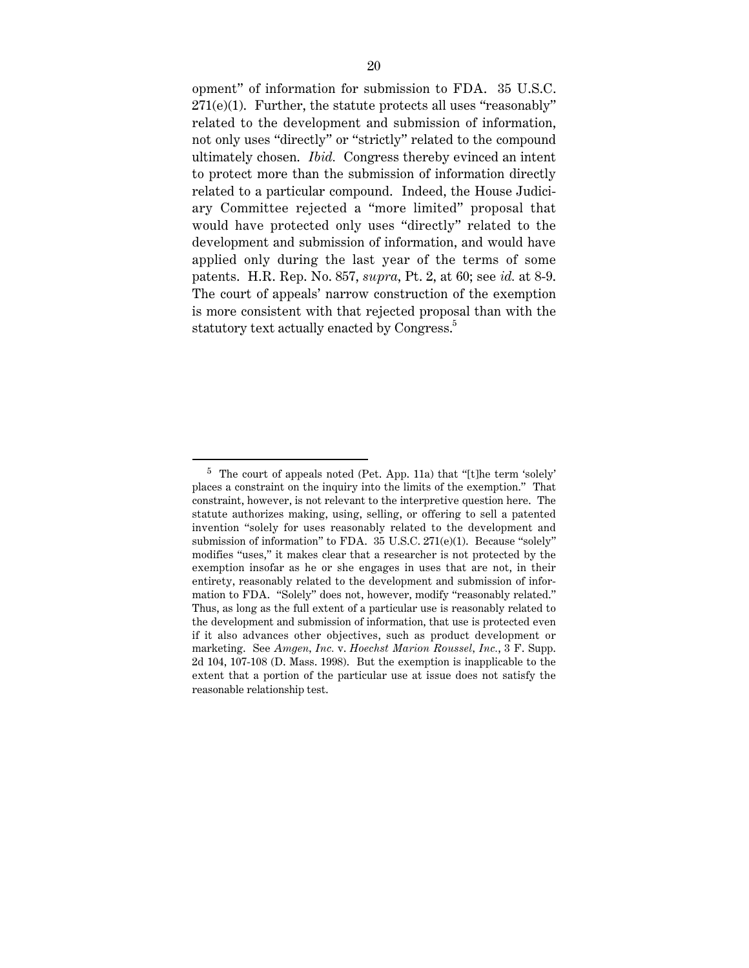opment" of information for submission to FDA. 35 U.S.C.  $271(e)(1)$ . Further, the statute protects all uses "reasonably" related to the development and submission of information, not only uses "directly" or "strictly" related to the compound ultimately chosen. *Ibid.* Congress thereby evinced an intent to protect more than the submission of information directly related to a particular compound. Indeed, the House Judiciary Committee rejected a "more limited" proposal that would have protected only uses "directly" related to the development and submission of information, and would have applied only during the last year of the terms of some patents. H.R. Rep. No. 857, *supra*, Pt. 2, at 60; see *id.* at 8-9. The court of appeals' narrow construction of the exemption is more consistent with that rejected proposal than with the statutory text actually enacted by Congress.<sup>5</sup>

 $5$  The court of appeals noted (Pet. App. 11a) that "[t]he term 'solely' places a constraint on the inquiry into the limits of the exemption." That constraint, however, is not relevant to the interpretive question here. The statute authorizes making, using, selling, or offering to sell a patented invention "solely for uses reasonably related to the development and submission of information" to FDA. 35 U.S.C. 271(e)(1). Because "solely" modifies "uses," it makes clear that a researcher is not protected by the exemption insofar as he or she engages in uses that are not, in their entirety, reasonably related to the development and submission of information to FDA. "Solely" does not, however, modify "reasonably related." Thus, as long as the full extent of a particular use is reasonably related to the development and submission of information, that use is protected even if it also advances other objectives, such as product development or marketing. See *Amgen, Inc.* v. *Hoechst Marion Roussel, Inc.*, 3 F. Supp. 2d 104, 107-108 (D. Mass. 1998). But the exemption is inapplicable to the extent that a portion of the particular use at issue does not satisfy the reasonable relationship test.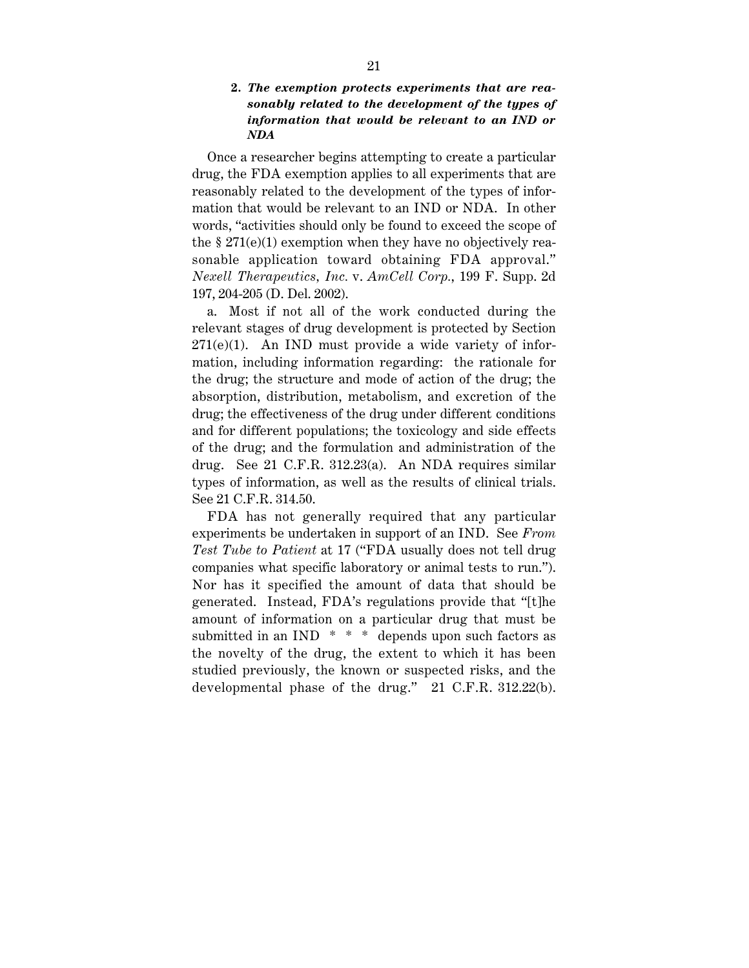### **2.** *The exemption protects experiments that are reasonably related to the development of the types of information that would be relevant to an IND or NDA*

Once a researcher begins attempting to create a particular drug, the FDA exemption applies to all experiments that are reasonably related to the development of the types of information that would be relevant to an IND or NDA. In other words, "activities should only be found to exceed the scope of the  $\S 271(e)(1)$  exemption when they have no objectively reasonable application toward obtaining FDA approval." *Nexell Therapeutics, Inc.* v. *AmCell Corp.*, 199 F. Supp. 2d 197, 204-205 (D. Del. 2002).

a. Most if not all of the work conducted during the relevant stages of drug development is protected by Section  $271(e)(1)$ . An IND must provide a wide variety of information, including information regarding: the rationale for the drug; the structure and mode of action of the drug; the absorption, distribution, metabolism, and excretion of the drug; the effectiveness of the drug under different conditions and for different populations; the toxicology and side effects of the drug; and the formulation and administration of the drug. See 21 C.F.R. 312.23(a). An NDA requires similar types of information, as well as the results of clinical trials. See 21 C.F.R. 314.50.

FDA has not generally required that any particular experiments be undertaken in support of an IND. See *From Test Tube to Patient* at 17 ("FDA usually does not tell drug companies what specific laboratory or animal tests to run."). Nor has it specified the amount of data that should be generated. Instead, FDA's regulations provide that "[t]he amount of information on a particular drug that must be submitted in an IND  $* * *$  depends upon such factors as the novelty of the drug, the extent to which it has been studied previously, the known or suspected risks, and the developmental phase of the drug." 21 C.F.R. 312.22(b).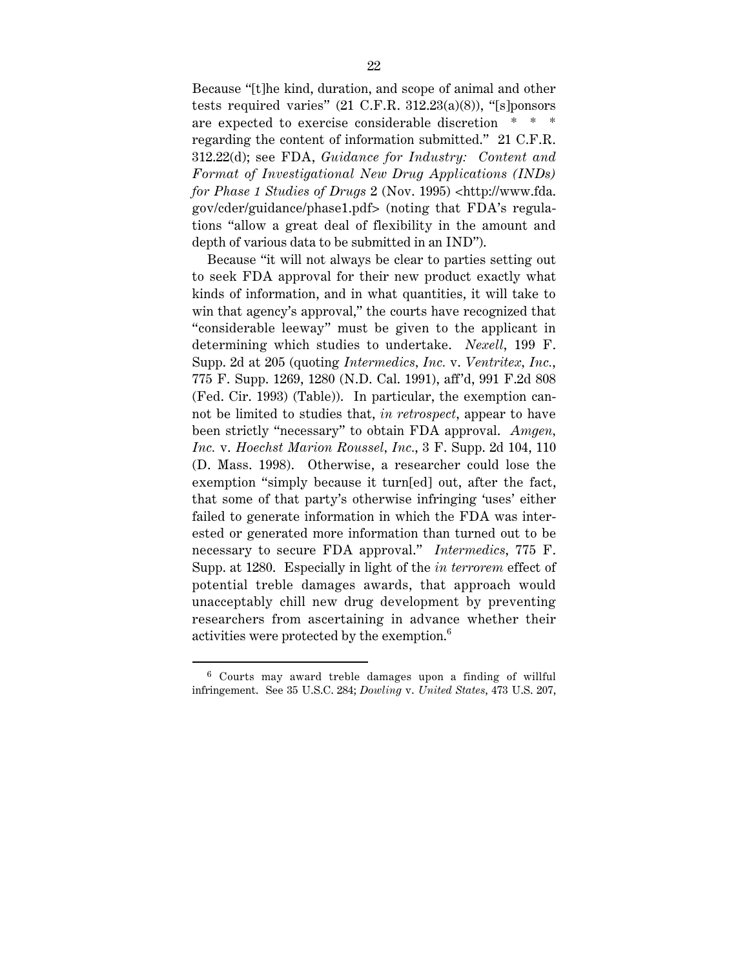Because "[t]he kind, duration, and scope of animal and other tests required varies"  $(21 \text{ C.F.R. } 312.23(a)(8))$ , "[s]ponsors are expected to exercise considerable discretion \* \* \* regarding the content of information submitted." 21 C.F.R. 312.22(d); see FDA, *Guidance for Industry: Content and Format of Investigational New Drug Applications (INDs) for Phase 1 Studies of Drugs* 2 (Nov. 1995) <http://www.fda. gov/cder/guidance/phase1.pdf> (noting that FDA's regulations "allow a great deal of flexibility in the amount and depth of various data to be submitted in an IND").

Because "it will not always be clear to parties setting out to seek FDA approval for their new product exactly what kinds of information, and in what quantities, it will take to win that agency's approval," the courts have recognized that "considerable leeway" must be given to the applicant in determining which studies to undertake. *Nexell*, 199 F. Supp. 2d at 205 (quoting *Intermedics, Inc.* v. *Ventritex, Inc.*, 775 F. Supp. 1269, 1280 (N.D. Cal. 1991), aff 'd, 991 F.2d 808 (Fed. Cir. 1993) (Table)). In particular, the exemption cannot be limited to studies that, *in retrospect*, appear to have been strictly "necessary" to obtain FDA approval. *Amgen, Inc.* v. *Hoechst Marion Roussel, Inc.*, 3 F. Supp. 2d 104, 110 (D. Mass. 1998). Otherwise, a researcher could lose the exemption "simply because it turn[ed] out, after the fact, that some of that party's otherwise infringing 'uses' either failed to generate information in which the FDA was interested or generated more information than turned out to be necessary to secure FDA approval." *Intermedics*, 775 F. Supp. at 1280. Especially in light of the *in terrorem* effect of potential treble damages awards, that approach would unacceptably chill new drug development by preventing researchers from ascertaining in advance whether their activities were protected by the exemption.<sup>6</sup>

 <sup>6</sup> Courts may award treble damages upon a finding of willful infringement. See 35 U.S.C. 284; *Dowling* v. *United States*, 473 U.S. 207,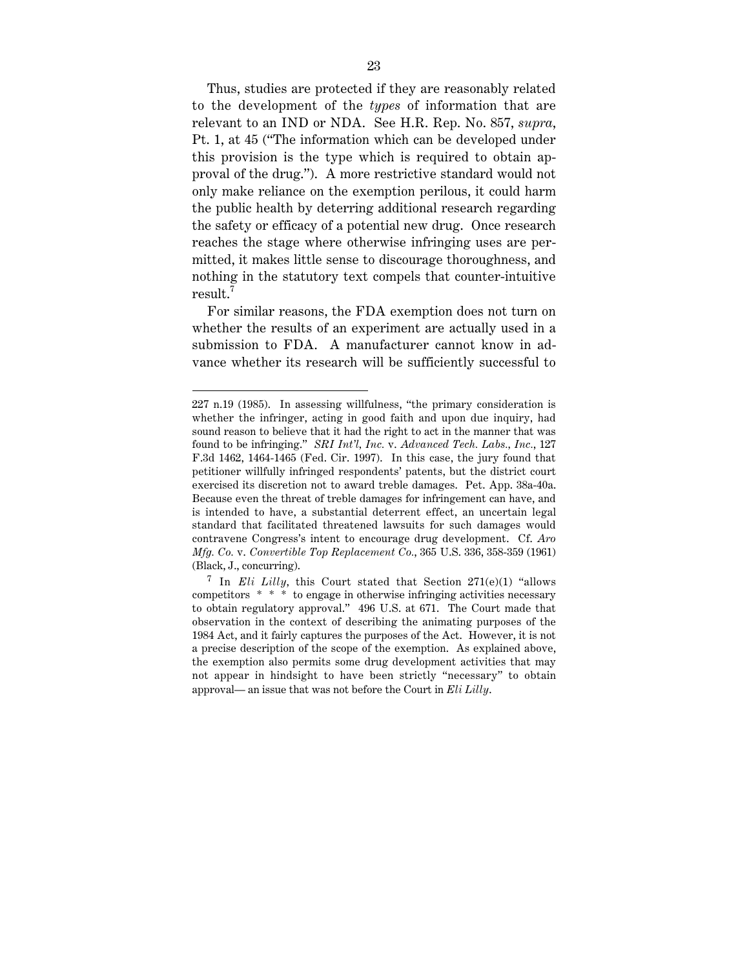Thus, studies are protected if they are reasonably related to the development of the *types* of information that are relevant to an IND or NDA. See H.R. Rep. No. 857, *supra*, Pt. 1, at 45 ("The information which can be developed under this provision is the type which is required to obtain approval of the drug."). A more restrictive standard would not only make reliance on the exemption perilous, it could harm the public health by deterring additional research regarding the safety or efficacy of a potential new drug. Once research reaches the stage where otherwise infringing uses are permitted, it makes little sense to discourage thoroughness, and nothing in the statutory text compels that counter-intuitive result.<sup>7</sup>

For similar reasons, the FDA exemption does not turn on whether the results of an experiment are actually used in a submission to FDA. A manufacturer cannot know in advance whether its research will be sufficiently successful to

 <sup>227</sup> n.19 (1985). In assessing willfulness, "the primary consideration is whether the infringer, acting in good faith and upon due inquiry, had sound reason to believe that it had the right to act in the manner that was found to be infringing." *SRI Int'l, Inc.* v. *Advanced Tech. Labs., Inc.*, 127 F.3d 1462, 1464-1465 (Fed. Cir. 1997). In this case, the jury found that petitioner willfully infringed respondents' patents, but the district court exercised its discretion not to award treble damages. Pet. App. 38a-40a. Because even the threat of treble damages for infringement can have, and is intended to have, a substantial deterrent effect, an uncertain legal standard that facilitated threatened lawsuits for such damages would contravene Congress's intent to encourage drug development. Cf. *Aro Mfg. Co.* v. *Convertible Top Replacement Co.*, 365 U.S. 336, 358-359 (1961) (Black, J., concurring).

<sup>7</sup> In *Eli Lilly*, this Court stated that Section 271(e)(1) "allows competitors \* \* \* to engage in otherwise infringing activities necessary to obtain regulatory approval." 496 U.S. at 671. The Court made that observation in the context of describing the animating purposes of the 1984 Act, and it fairly captures the purposes of the Act. However, it is not a precise description of the scope of the exemption. As explained above, the exemption also permits some drug development activities that may not appear in hindsight to have been strictly "necessary" to obtain approval— an issue that was not before the Court in *Eli Lilly*.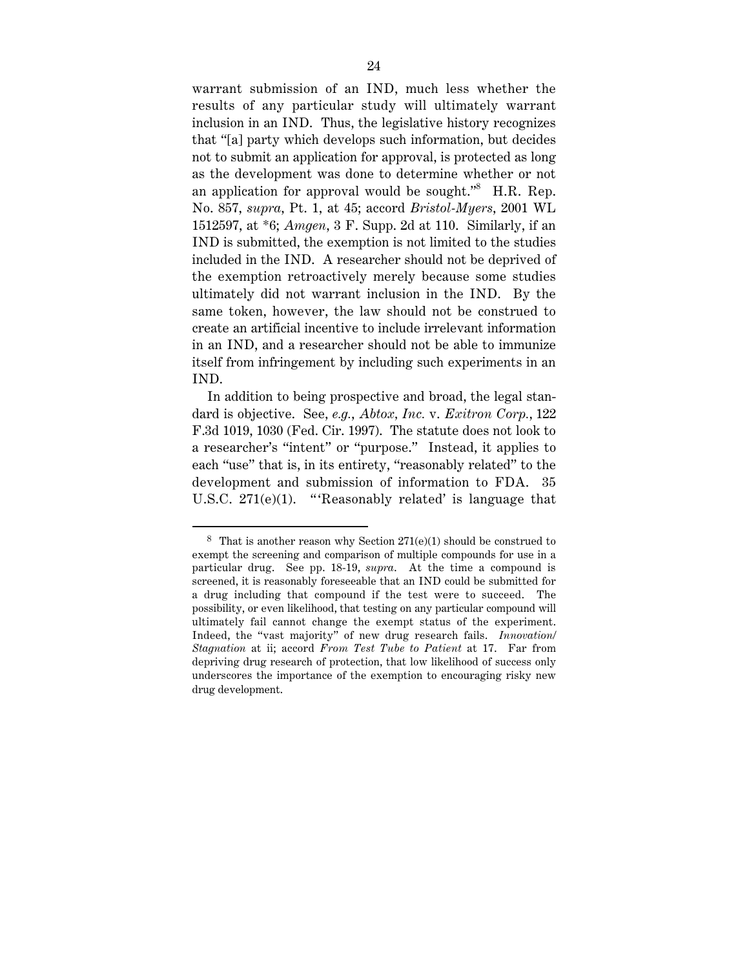warrant submission of an IND, much less whether the results of any particular study will ultimately warrant inclusion in an IND. Thus, the legislative history recognizes that "[a] party which develops such information, but decides not to submit an application for approval, is protected as long as the development was done to determine whether or not an application for approval would be sought." $8$  H.R. Rep. No. 857, *supra*, Pt. 1, at 45; accord *Bristol-Myers*, 2001 WL 1512597, at \*6; *Amgen*, 3 F. Supp. 2d at 110. Similarly, if an IND is submitted, the exemption is not limited to the studies included in the IND. A researcher should not be deprived of the exemption retroactively merely because some studies ultimately did not warrant inclusion in the IND. By the same token, however, the law should not be construed to create an artificial incentive to include irrelevant information in an IND, and a researcher should not be able to immunize itself from infringement by including such experiments in an IND.

In addition to being prospective and broad, the legal standard is objective. See, *e.g.*, *Abtox, Inc.* v. *Exitron Corp.*, 122 F.3d 1019, 1030 (Fed. Cir. 1997). The statute does not look to a researcher's "intent" or "purpose." Instead, it applies to each "use" that is, in its entirety, "reasonably related" to the development and submission of information to FDA. 35 U.S.C.  $271(e)(1)$ . "Reasonably related' is language that

<sup>&</sup>lt;sup>8</sup> That is another reason why Section  $271(e)(1)$  should be construed to exempt the screening and comparison of multiple compounds for use in a particular drug. See pp. 18-19, *supra*. At the time a compound is screened, it is reasonably foreseeable that an IND could be submitted for a drug including that compound if the test were to succeed. The possibility, or even likelihood, that testing on any particular compound will ultimately fail cannot change the exempt status of the experiment. Indeed, the "vast majority" of new drug research fails. *Innovation/ Stagnation* at ii; accord *From Test Tube to Patient* at 17. Far from depriving drug research of protection, that low likelihood of success only underscores the importance of the exemption to encouraging risky new drug development.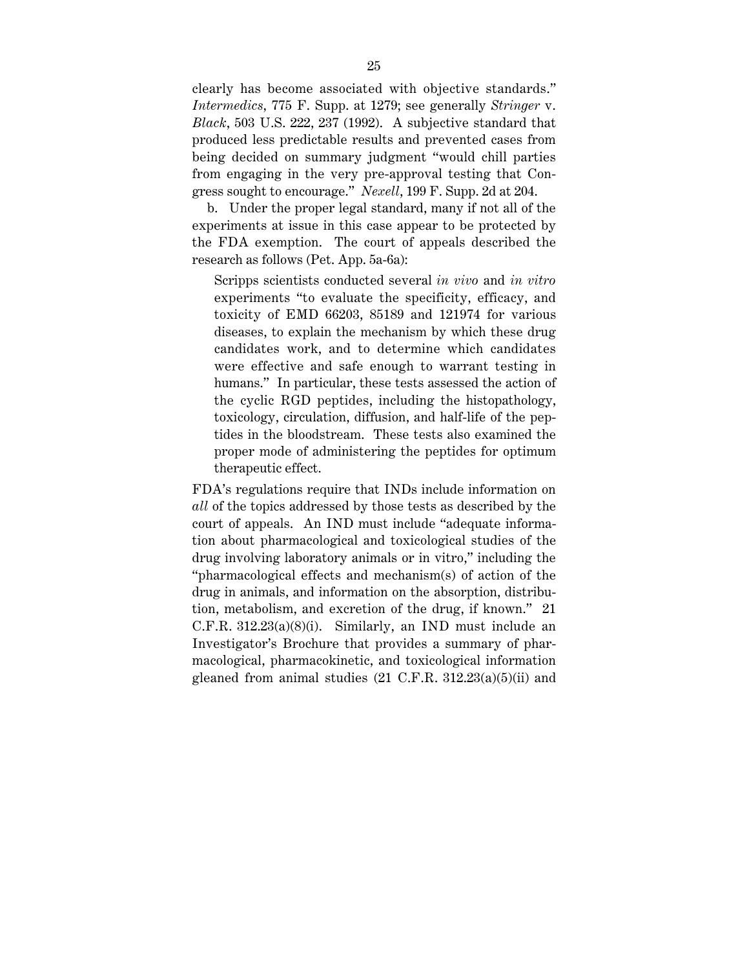clearly has become associated with objective standards." *Intermedics*, 775 F. Supp. at 1279; see generally *Stringer* v. *Black*, 503 U.S. 222, 237 (1992). A subjective standard that produced less predictable results and prevented cases from being decided on summary judgment "would chill parties from engaging in the very pre-approval testing that Congress sought to encourage." *Nexell*, 199 F. Supp. 2d at 204.

b. Under the proper legal standard, many if not all of the experiments at issue in this case appear to be protected by the FDA exemption. The court of appeals described the research as follows (Pet. App. 5a-6a):

Scripps scientists conducted several *in vivo* and *in vitro* experiments "to evaluate the specificity, efficacy, and toxicity of EMD 66203, 85189 and 121974 for various diseases, to explain the mechanism by which these drug candidates work, and to determine which candidates were effective and safe enough to warrant testing in humans." In particular, these tests assessed the action of the cyclic RGD peptides, including the histopathology, toxicology, circulation, diffusion, and half-life of the peptides in the bloodstream. These tests also examined the proper mode of administering the peptides for optimum therapeutic effect.

FDA's regulations require that INDs include information on *all* of the topics addressed by those tests as described by the court of appeals. An IND must include "adequate information about pharmacological and toxicological studies of the drug involving laboratory animals or in vitro," including the "pharmacological effects and mechanism(s) of action of the drug in animals, and information on the absorption, distribution, metabolism, and excretion of the drug, if known." 21  $C.F.R. 312.23(a)(8)(i)$ . Similarly, an IND must include an Investigator's Brochure that provides a summary of pharmacological, pharmacokinetic, and toxicological information gleaned from animal studies  $(21 \text{ C.F.R. } 312.23(a)(5)(ii)$  and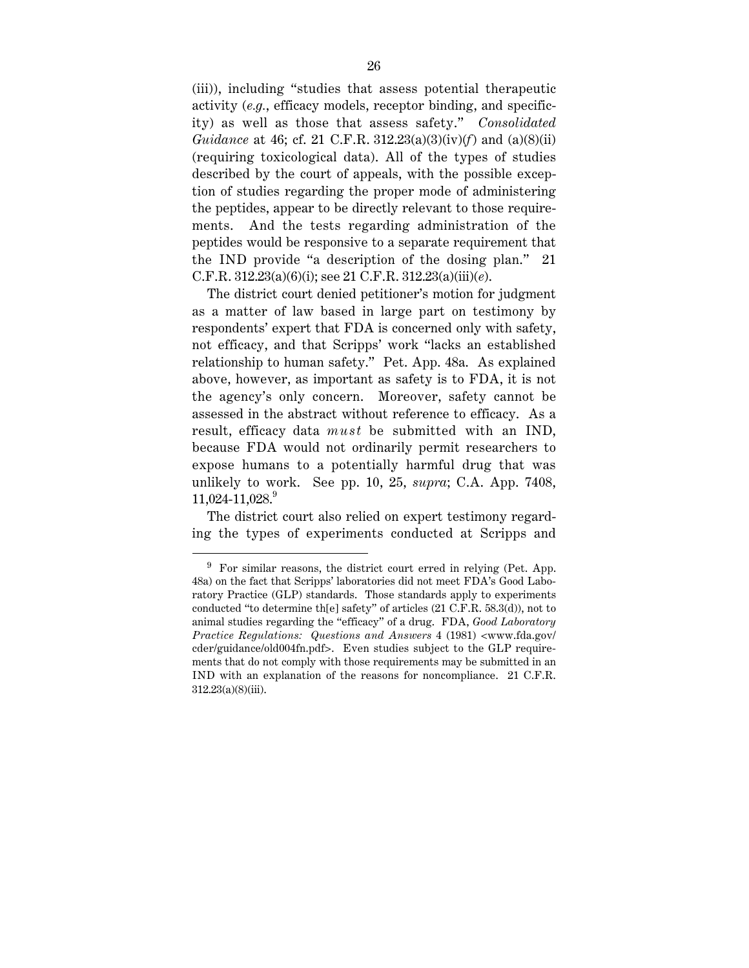(iii)), including "studies that assess potential therapeutic activity (*e.g.*, efficacy models, receptor binding, and specificity) as well as those that assess safety." *Consolidated Guidance* at 46; cf. 21 C.F.R. 312.23(a)(3)(iv)(*f*) and (a)(8)(ii) (requiring toxicological data). All of the types of studies described by the court of appeals, with the possible exception of studies regarding the proper mode of administering the peptides, appear to be directly relevant to those requirements. And the tests regarding administration of the peptides would be responsive to a separate requirement that the IND provide "a description of the dosing plan." 21 C.F.R. 312.23(a)(6)(i); see 21 C.F.R. 312.23(a)(iii)(*e*).

The district court denied petitioner's motion for judgment as a matter of law based in large part on testimony by respondents' expert that FDA is concerned only with safety, not efficacy, and that Scripps' work "lacks an established relationship to human safety." Pet. App. 48a. As explained above, however, as important as safety is to FDA, it is not the agency's only concern. Moreover, safety cannot be assessed in the abstract without reference to efficacy. As a result, efficacy data *must* be submitted with an IND, because FDA would not ordinarily permit researchers to expose humans to a potentially harmful drug that was unlikely to work. See pp. 10, 25, *supra*; C.A. App. 7408,  $11,024-11,028.<sup>9</sup>$ 

The district court also relied on expert testimony regarding the types of experiments conducted at Scripps and

 $9$  For similar reasons, the district court erred in relying (Pet. App. 48a) on the fact that Scripps' laboratories did not meet FDA's Good Laboratory Practice (GLP) standards. Those standards apply to experiments conducted "to determine th[e] safety" of articles (21 C.F.R. 58.3(d)), not to animal studies regarding the "efficacy" of a drug. FDA, *Good Laboratory Practice Regulations: Questions and Answers* 4 (1981) <www.fda.gov/ cder/guidance/old004fn.pdf>. Even studies subject to the GLP requirements that do not comply with those requirements may be submitted in an IND with an explanation of the reasons for noncompliance. 21 C.F.R. 312.23(a)(8)(iii).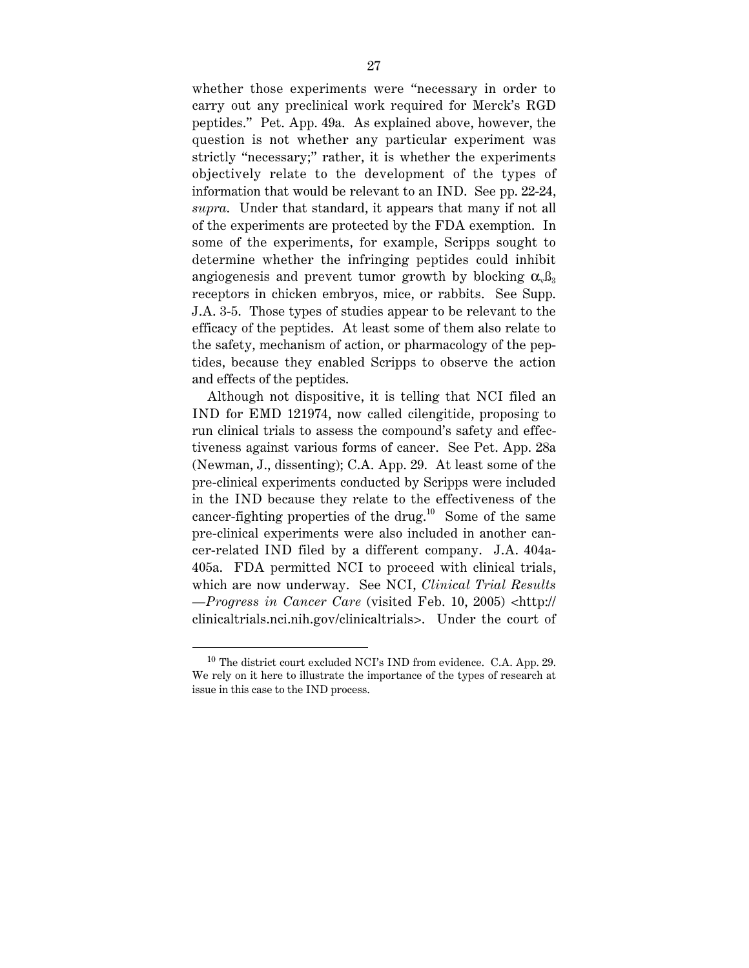whether those experiments were "necessary in order to carry out any preclinical work required for Merck's RGD peptides." Pet. App. 49a. As explained above, however, the question is not whether any particular experiment was strictly "necessary;" rather, it is whether the experiments objectively relate to the development of the types of information that would be relevant to an IND. See pp. 22-24, *supra*. Under that standard, it appears that many if not all of the experiments are protected by the FDA exemption. In some of the experiments, for example, Scripps sought to determine whether the infringing peptides could inhibit angiogenesis and prevent tumor growth by blocking  $\alpha_{\nu} \beta_3$ receptors in chicken embryos, mice, or rabbits. See Supp. J.A. 3-5. Those types of studies appear to be relevant to the efficacy of the peptides. At least some of them also relate to the safety, mechanism of action, or pharmacology of the peptides, because they enabled Scripps to observe the action and effects of the peptides.

Although not dispositive, it is telling that NCI filed an IND for EMD 121974, now called cilengitide, proposing to run clinical trials to assess the compound's safety and effectiveness against various forms of cancer. See Pet. App. 28a (Newman, J., dissenting); C.A. App. 29. At least some of the pre-clinical experiments conducted by Scripps were included in the IND because they relate to the effectiveness of the cancer-fighting properties of the drug.<sup>10</sup> Some of the same pre-clinical experiments were also included in another cancer-related IND filed by a different company. J.A. 404a-405a. FDA permitted NCI to proceed with clinical trials, which are now underway. See NCI, *Clinical Trial Results —Progress in Cancer Care* (visited Feb. 10, 2005) <http:// clinicaltrials.nci.nih.gov/clinicaltrials>. Under the court of

 $10$  The district court excluded NCI's IND from evidence. C.A. App. 29. We rely on it here to illustrate the importance of the types of research at issue in this case to the IND process.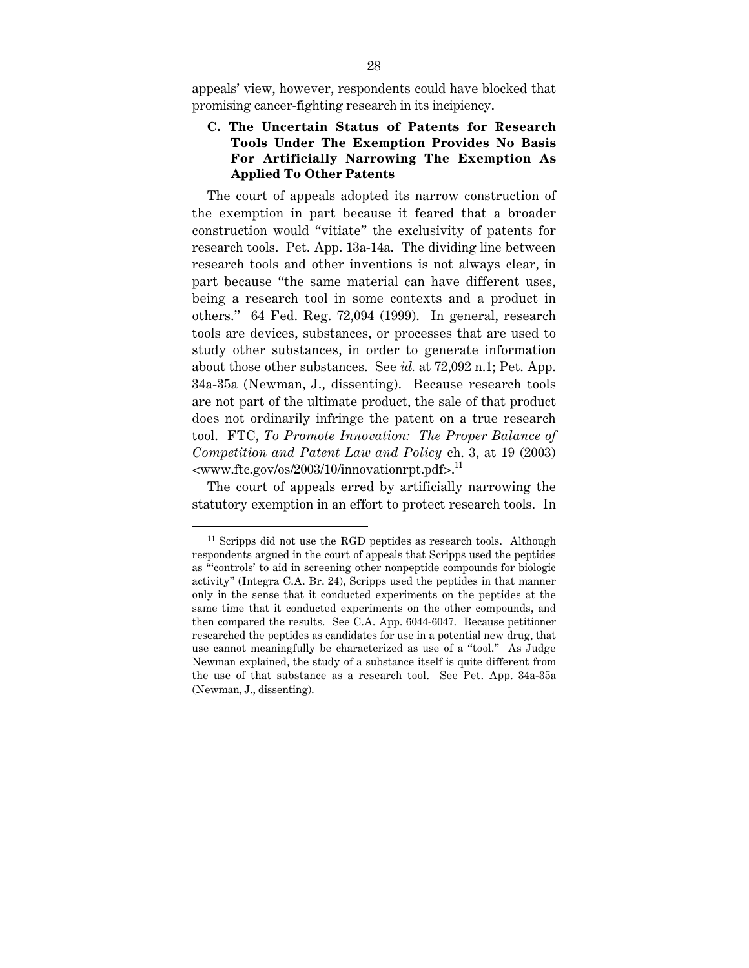appeals' view, however, respondents could have blocked that promising cancer-fighting research in its incipiency.

# **C. The Uncertain Status of Patents for Research Tools Under The Exemption Provides No Basis For Artificially Narrowing The Exemption As Applied To Other Patents**

The court of appeals adopted its narrow construction of the exemption in part because it feared that a broader construction would "vitiate" the exclusivity of patents for research tools. Pet. App. 13a-14a. The dividing line between research tools and other inventions is not always clear, in part because "the same material can have different uses, being a research tool in some contexts and a product in others." 64 Fed. Reg. 72,094 (1999). In general, research tools are devices, substances, or processes that are used to study other substances, in order to generate information about those other substances. See *id.* at 72,092 n.1; Pet. App. 34a-35a (Newman, J., dissenting). Because research tools are not part of the ultimate product, the sale of that product does not ordinarily infringe the patent on a true research tool. FTC, *To Promote Innovation: The Proper Balance of Competition and Patent Law and Policy* ch. 3, at 19 (2003)  $\langle$ www.ftc.gov/os/2003/10/innovationrpt.pdf>.<sup>11</sup>

The court of appeals erred by artificially narrowing the statutory exemption in an effort to protect research tools. In

 $11$  Scripps did not use the RGD peptides as research tools. Although respondents argued in the court of appeals that Scripps used the peptides as "'controls' to aid in screening other nonpeptide compounds for biologic activity" (Integra C.A. Br. 24), Scripps used the peptides in that manner only in the sense that it conducted experiments on the peptides at the same time that it conducted experiments on the other compounds, and then compared the results. See C.A. App. 6044-6047. Because petitioner researched the peptides as candidates for use in a potential new drug, that use cannot meaningfully be characterized as use of a "tool." As Judge Newman explained, the study of a substance itself is quite different from the use of that substance as a research tool. See Pet. App. 34a-35a (Newman, J., dissenting).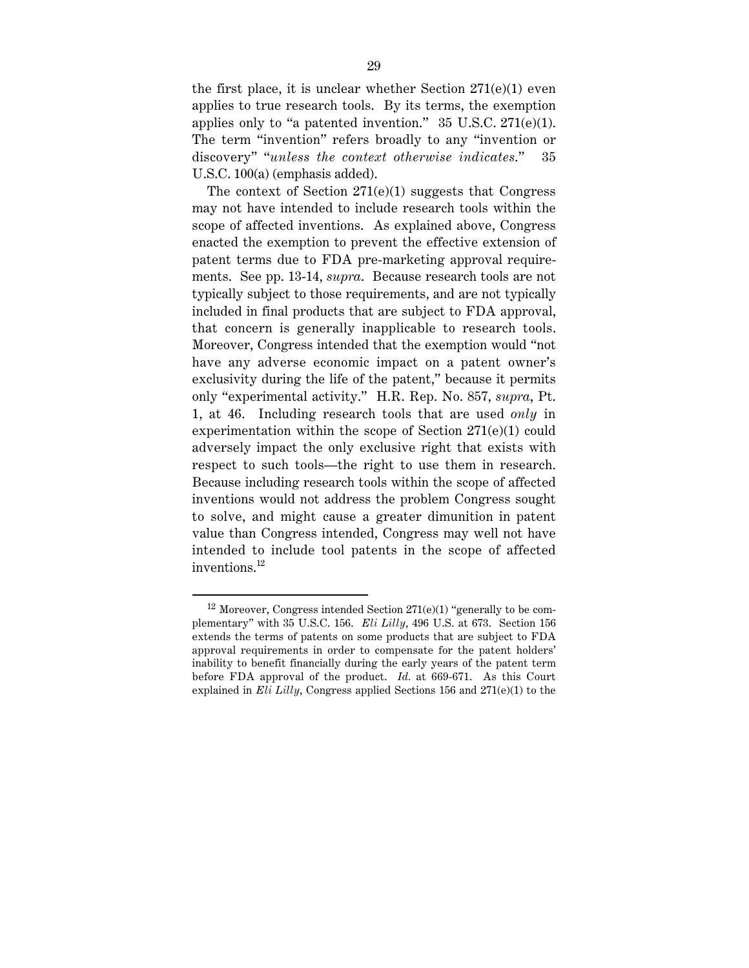the first place, it is unclear whether Section 271(e)(1) even applies to true research tools. By its terms, the exemption applies only to "a patented invention."  $35 \text{ U.S.C. } 271\text{(e)}(1)$ . The term "invention" refers broadly to any "invention or discovery" "*unless the context otherwise indicates*." 35 U.S.C. 100(a) (emphasis added).

The context of Section  $271(e)(1)$  suggests that Congress may not have intended to include research tools within the scope of affected inventions. As explained above, Congress enacted the exemption to prevent the effective extension of patent terms due to FDA pre-marketing approval requirements. See pp. 13-14, *supra*. Because research tools are not typically subject to those requirements, and are not typically included in final products that are subject to FDA approval, that concern is generally inapplicable to research tools. Moreover, Congress intended that the exemption would "not have any adverse economic impact on a patent owner's exclusivity during the life of the patent," because it permits only "experimental activity." H.R. Rep. No. 857, *supra*, Pt. 1, at 46. Including research tools that are used *only* in experimentation within the scope of Section 271(e)(1) could adversely impact the only exclusive right that exists with respect to such tools—the right to use them in research. Because including research tools within the scope of affected inventions would not address the problem Congress sought to solve, and might cause a greater dimunition in patent value than Congress intended, Congress may well not have intended to include tool patents in the scope of affected inventions.<sup>12</sup>

<sup>&</sup>lt;sup>12</sup> Moreover, Congress intended Section  $271(e)(1)$  "generally to be complementary" with 35 U.S.C. 156. *Eli Lilly*, 496 U.S. at 673. Section 156 extends the terms of patents on some products that are subject to FDA approval requirements in order to compensate for the patent holders' inability to benefit financially during the early years of the patent term before FDA approval of the product. *Id.* at 669-671. As this Court explained in *Eli Lilly*, Congress applied Sections 156 and  $271(e)(1)$  to the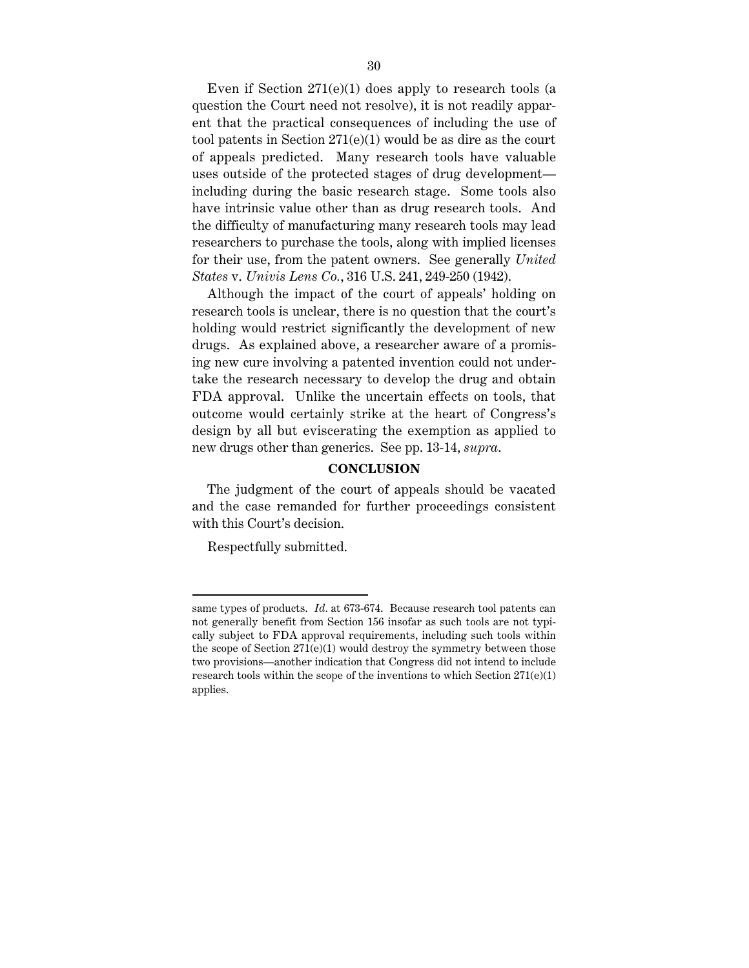Even if Section 271(e)(1) does apply to research tools (a question the Court need not resolve), it is not readily apparent that the practical consequences of including the use of tool patents in Section 271(e)(1) would be as dire as the court of appeals predicted. Many research tools have valuable uses outside of the protected stages of drug development including during the basic research stage. Some tools also have intrinsic value other than as drug research tools. And the difficulty of manufacturing many research tools may lead researchers to purchase the tools, along with implied licenses for their use, from the patent owners. See generally *United States* v. *Univis Lens Co.*, 316 U.S. 241, 249-250 (1942).

Although the impact of the court of appeals' holding on research tools is unclear, there is no question that the court's holding would restrict significantly the development of new drugs. As explained above, a researcher aware of a promising new cure involving a patented invention could not undertake the research necessary to develop the drug and obtain FDA approval. Unlike the uncertain effects on tools, that outcome would certainly strike at the heart of Congress's design by all but eviscerating the exemption as applied to new drugs other than generics. See pp. 13-14, *supra*.

#### **CONCLUSION**

The judgment of the court of appeals should be vacated and the case remanded for further proceedings consistent with this Court's decision.

Respectfully submitted.

same types of products. *Id.* at 673-674. Because research tool patents can not generally benefit from Section 156 insofar as such tools are not typically subject to FDA approval requirements, including such tools within the scope of Section  $271(e)(1)$  would destroy the symmetry between those two provisions—another indication that Congress did not intend to include research tools within the scope of the inventions to which Section  $271(e)(1)$ applies.